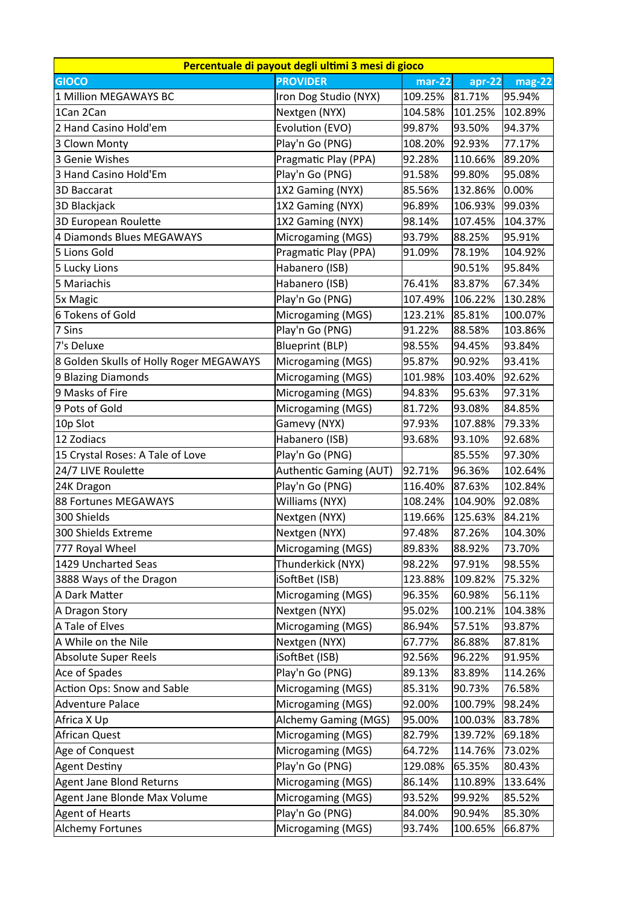|                                         | Percentuale di payout degli ultimi 3 mesi di gioco |                     |          |           |
|-----------------------------------------|----------------------------------------------------|---------------------|----------|-----------|
| <b>GIOCO</b>                            | <b>PROVIDER</b>                                    | $\overline{mar-22}$ | $apr-22$ | mag-22    |
| 1 Million MEGAWAYS BC                   | Iron Dog Studio (NYX)                              | 109.25%             | 81.71%   | 95.94%    |
| 1Can 2Can                               | Nextgen (NYX)                                      | 104.58%             | 101.25%  | 102.89%   |
| 2 Hand Casino Hold'em                   | Evolution (EVO)                                    | 99.87%              | 93.50%   | 94.37%    |
| 3 Clown Monty                           | Play'n Go (PNG)                                    | 108.20%             | 92.93%   | 77.17%    |
| 3 Genie Wishes                          | Pragmatic Play (PPA)                               | 92.28%              | 110.66%  | 89.20%    |
| 3 Hand Casino Hold'Em                   | Play'n Go (PNG)                                    | 91.58%              | 99.80%   | 95.08%    |
| 3D Baccarat                             | 1X2 Gaming (NYX)                                   | 85.56%              | 132.86%  | $ 0.00\%$ |
| 3D Blackjack                            | 1X2 Gaming (NYX)                                   | 96.89%              | 106.93%  | 99.03%    |
| 3D European Roulette                    | 1X2 Gaming (NYX)                                   | 98.14%              | 107.45%  | 104.37%   |
| 4 Diamonds Blues MEGAWAYS               | Microgaming (MGS)                                  | 93.79%              | 88.25%   | 95.91%    |
| 5 Lions Gold                            | Pragmatic Play (PPA)                               | 91.09%              | 78.19%   | 104.92%   |
| 5 Lucky Lions                           | Habanero (ISB)                                     |                     | 90.51%   | 95.84%    |
| 5 Mariachis                             | Habanero (ISB)                                     | 76.41%              | 83.87%   | 67.34%    |
| 5x Magic                                | Play'n Go (PNG)                                    | 107.49%             | 106.22%  | 130.28%   |
| 6 Tokens of Gold                        | Microgaming (MGS)                                  | 123.21%             | 85.81%   | 100.07%   |
| 7 Sins                                  | Play'n Go (PNG)                                    | 91.22%              | 88.58%   | 103.86%   |
| 7's Deluxe                              | <b>Blueprint (BLP)</b>                             | 98.55%              | 94.45%   | 93.84%    |
| 8 Golden Skulls of Holly Roger MEGAWAYS | Microgaming (MGS)                                  | 95.87%              | 90.92%   | 93.41%    |
| 9 Blazing Diamonds                      | Microgaming (MGS)                                  | 101.98%             | 103.40%  | 92.62%    |
| 9 Masks of Fire                         | Microgaming (MGS)                                  | 94.83%              | 95.63%   | 97.31%    |
| 9 Pots of Gold                          | Microgaming (MGS)                                  | 81.72%              | 93.08%   | 84.85%    |
| 10p Slot                                | Gamevy (NYX)                                       | 97.93%              | 107.88%  | 79.33%    |
| 12 Zodiacs                              | Habanero (ISB)                                     | 93.68%              | 93.10%   | 92.68%    |
| 15 Crystal Roses: A Tale of Love        | Play'n Go (PNG)                                    |                     | 85.55%   | 97.30%    |
| 24/7 LIVE Roulette                      | Authentic Gaming (AUT)                             | 92.71%              | 96.36%   | 102.64%   |
| 24K Dragon                              | Play'n Go (PNG)                                    | 116.40%             | 87.63%   | 102.84%   |
| 88 Fortunes MEGAWAYS                    | Williams (NYX)                                     | 108.24%             | 104.90%  | 92.08%    |
| 300 Shields                             | Nextgen (NYX)                                      | 119.66%             | 125.63%  | 84.21%    |
| 300 Shields Extreme                     | Nextgen (NYX)                                      | 97.48%              | 87.26%   | 104.30%   |
| 777 Royal Wheel                         | Microgaming (MGS)                                  | 89.83%              | 88.92%   | 73.70%    |
| 1429 Uncharted Seas                     | Thunderkick (NYX)                                  | 98.22%              | 97.91%   | 98.55%    |
| 3888 Ways of the Dragon                 | iSoftBet (ISB)                                     | 123.88%             | 109.82%  | 75.32%    |
| A Dark Matter                           | Microgaming (MGS)                                  | 96.35%              | 60.98%   | 56.11%    |
| A Dragon Story                          | Nextgen (NYX)                                      | 95.02%              | 100.21%  | 104.38%   |
| A Tale of Elves                         | Microgaming (MGS)                                  | 86.94%              | 57.51%   | 93.87%    |
| A While on the Nile                     | Nextgen (NYX)                                      | 67.77%              | 86.88%   | 87.81%    |
| Absolute Super Reels                    | iSoftBet (ISB)                                     | 92.56%              | 96.22%   | 91.95%    |
| Ace of Spades                           | Play'n Go (PNG)                                    | 89.13%              | 83.89%   | 114.26%   |
| Action Ops: Snow and Sable              | Microgaming (MGS)                                  | 85.31%              | 90.73%   | 76.58%    |
| Adventure Palace                        | Microgaming (MGS)                                  | 92.00%              | 100.79%  | 98.24%    |
| Africa X Up                             | <b>Alchemy Gaming (MGS)</b>                        | 95.00%              | 100.03%  | 83.78%    |
| African Quest                           | Microgaming (MGS)                                  | 82.79%              | 139.72%  | 69.18%    |
| Age of Conquest                         | Microgaming (MGS)                                  | 64.72%              | 114.76%  | 73.02%    |
| Agent Destiny                           | Play'n Go (PNG)                                    | 129.08%             | 65.35%   | 80.43%    |
| Agent Jane Blond Returns                | Microgaming (MGS)                                  | 86.14%              | 110.89%  | 133.64%   |
| Agent Jane Blonde Max Volume            | Microgaming (MGS)                                  | 93.52%              | 99.92%   | 85.52%    |
| Agent of Hearts                         | Play'n Go (PNG)                                    | 84.00%              | 90.94%   | 85.30%    |
| Alchemy Fortunes                        | Microgaming (MGS)                                  | 93.74%              | 100.65%  | 66.87%    |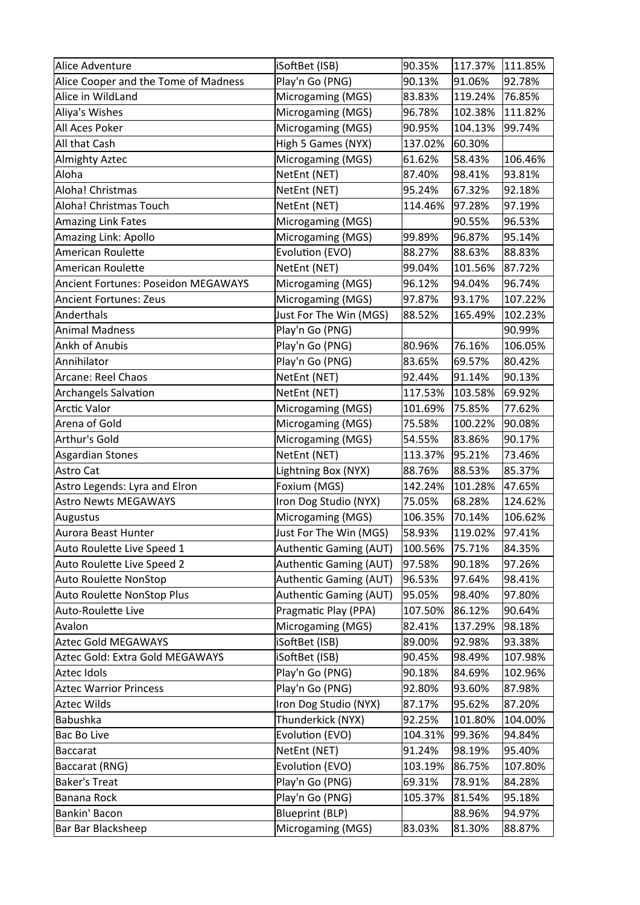| Alice Adventure                            | iSoftBet (ISB)         | 90.35%  | 117.37% | 111.85% |
|--------------------------------------------|------------------------|---------|---------|---------|
| Alice Cooper and the Tome of Madness       | Play'n Go (PNG)        | 90.13%  | 91.06%  | 92.78%  |
| Alice in WildLand                          | Microgaming (MGS)      | 83.83%  | 119.24% | 76.85%  |
| Aliya's Wishes                             | Microgaming (MGS)      | 96.78%  | 102.38% | 111.82% |
| All Aces Poker                             | Microgaming (MGS)      | 90.95%  | 104.13% | 99.74%  |
| All that Cash                              | High 5 Games (NYX)     | 137.02% | 60.30%  |         |
| Almighty Aztec                             | Microgaming (MGS)      | 61.62%  | 58.43%  | 106.46% |
| Aloha                                      | NetEnt (NET)           | 87.40%  | 98.41%  | 93.81%  |
| Aloha! Christmas                           | NetEnt (NET)           | 95.24%  | 67.32%  | 92.18%  |
| Aloha! Christmas Touch                     | NetEnt (NET)           | 114.46% | 97.28%  | 97.19%  |
| Amazing Link Fates                         | Microgaming (MGS)      |         | 90.55%  | 96.53%  |
| Amazing Link: Apollo                       | Microgaming (MGS)      | 99.89%  | 96.87%  | 95.14%  |
| American Roulette                          | Evolution (EVO)        | 88.27%  | 88.63%  | 88.83%  |
| American Roulette                          | NetEnt (NET)           | 99.04%  | 101.56% | 87.72%  |
| <b>Ancient Fortunes: Poseidon MEGAWAYS</b> | Microgaming (MGS)      | 96.12%  | 94.04%  | 96.74%  |
| <b>Ancient Fortunes: Zeus</b>              | Microgaming (MGS)      | 97.87%  | 93.17%  | 107.22% |
| Anderthals                                 | Just For The Win (MGS) | 88.52%  | 165.49% | 102.23% |
| Animal Madness                             | Play'n Go (PNG)        |         |         | 90.99%  |
| Ankh of Anubis                             | Play'n Go (PNG)        | 80.96%  | 76.16%  | 106.05% |
| Annihilator                                | Play'n Go (PNG)        | 83.65%  | 69.57%  | 80.42%  |
| Arcane: Reel Chaos                         | NetEnt (NET)           | 92.44%  | 91.14%  | 90.13%  |
| Archangels Salvation                       | NetEnt (NET)           | 117.53% | 103.58% | 69.92%  |
| Arctic Valor                               | Microgaming (MGS)      | 101.69% | 75.85%  | 77.62%  |
| Arena of Gold                              | Microgaming (MGS)      | 75.58%  | 100.22% | 90.08%  |
| Arthur's Gold                              | Microgaming (MGS)      | 54.55%  | 83.86%  | 90.17%  |
| Asgardian Stones                           | NetEnt (NET)           | 113.37% | 95.21%  | 73.46%  |
| Astro Cat                                  | Lightning Box (NYX)    | 88.76%  | 88.53%  | 85.37%  |
| Astro Legends: Lyra and Elron              | Foxium (MGS)           | 142.24% | 101.28% | 47.65%  |
| <b>Astro Newts MEGAWAYS</b>                | Iron Dog Studio (NYX)  | 75.05%  | 68.28%  | 124.62% |
| Augustus                                   | Microgaming (MGS)      | 106.35% | 70.14%  | 106.62% |
| Aurora Beast Hunter                        | Just For The Win (MGS) | 58.93%  | 119.02% | 97.41%  |
| Auto Roulette Live Speed 1                 | Authentic Gaming (AUT) | 100.56% | 75.71%  | 84.35%  |
| Auto Roulette Live Speed 2                 | Authentic Gaming (AUT) | 97.58%  | 90.18%  | 97.26%  |
| Auto Roulette NonStop                      | Authentic Gaming (AUT) | 96.53%  | 97.64%  | 98.41%  |
| Auto Roulette NonStop Plus                 | Authentic Gaming (AUT) | 95.05%  | 98.40%  | 97.80%  |
| Auto-Roulette Live                         | Pragmatic Play (PPA)   | 107.50% | 86.12%  | 90.64%  |
| Avalon                                     | Microgaming (MGS)      | 82.41%  | 137.29% | 98.18%  |
| Aztec Gold MEGAWAYS                        | iSoftBet (ISB)         | 89.00%  | 92.98%  | 93.38%  |
| Aztec Gold: Extra Gold MEGAWAYS            | iSoftBet (ISB)         | 90.45%  | 98.49%  | 107.98% |
| Aztec Idols                                | Play'n Go (PNG)        | 90.18%  | 84.69%  | 102.96% |
| <b>Aztec Warrior Princess</b>              | Play'n Go (PNG)        | 92.80%  | 93.60%  | 87.98%  |
| Aztec Wilds                                | Iron Dog Studio (NYX)  | 87.17%  | 95.62%  | 87.20%  |
| Babushka                                   | Thunderkick (NYX)      | 92.25%  | 101.80% | 104.00% |
| Bac Bo Live                                | Evolution (EVO)        | 104.31% | 99.36%  | 94.84%  |
| Baccarat                                   | NetEnt (NET)           | 91.24%  | 98.19%  | 95.40%  |
| Baccarat (RNG)                             | Evolution (EVO)        | 103.19% | 86.75%  | 107.80% |
| <b>Baker's Treat</b>                       | Play'n Go (PNG)        | 69.31%  | 78.91%  | 84.28%  |
| Banana Rock                                | Play'n Go (PNG)        | 105.37% | 81.54%  | 95.18%  |
| Bankin' Bacon                              | <b>Blueprint (BLP)</b> |         | 88.96%  | 94.97%  |
| Bar Bar Blacksheep                         | Microgaming (MGS)      | 83.03%  | 81.30%  | 88.87%  |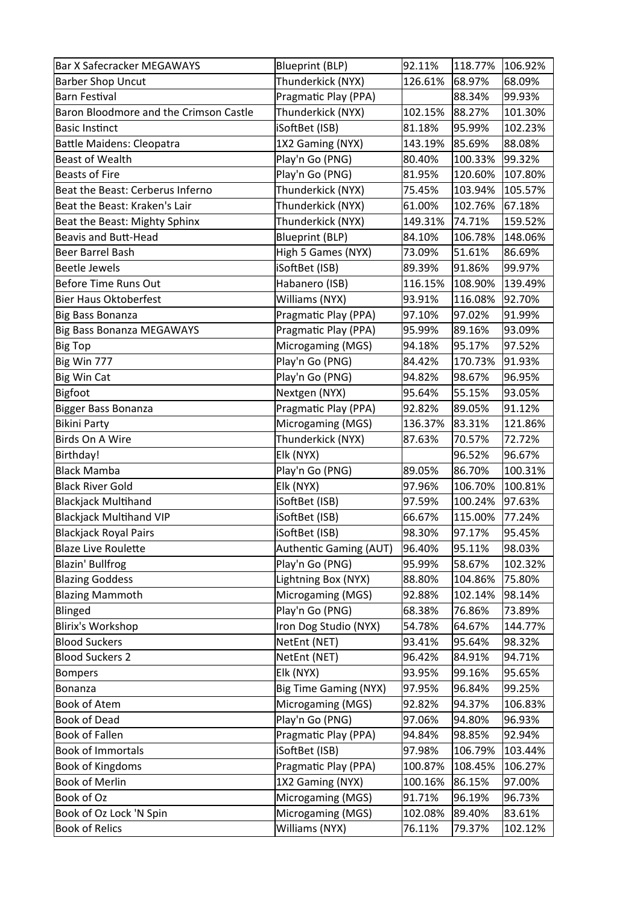| <b>Bar X Safecracker MEGAWAYS</b>      | <b>Blueprint (BLP)</b>       | 92.11%  | 118.77% | 106.92% |
|----------------------------------------|------------------------------|---------|---------|---------|
| Barber Shop Uncut                      | Thunderkick (NYX)            | 126.61% | 68.97%  | 68.09%  |
| Barn Festival                          | Pragmatic Play (PPA)         |         | 88.34%  | 99.93%  |
| Baron Bloodmore and the Crimson Castle | Thunderkick (NYX)            | 102.15% | 88.27%  | 101.30% |
| Basic Instinct                         | iSoftBet (ISB)               | 81.18%  | 95.99%  | 102.23% |
| <b>Battle Maidens: Cleopatra</b>       | 1X2 Gaming (NYX)             | 143.19% | 85.69%  | 88.08%  |
| Beast of Wealth                        | Play'n Go (PNG)              | 80.40%  | 100.33% | 99.32%  |
| <b>Beasts of Fire</b>                  | Play'n Go (PNG)              | 81.95%  | 120.60% | 107.80% |
| Beat the Beast: Cerberus Inferno       | Thunderkick (NYX)            | 75.45%  | 103.94% | 105.57% |
| Beat the Beast: Kraken's Lair          | Thunderkick (NYX)            | 61.00%  | 102.76% | 67.18%  |
| Beat the Beast: Mighty Sphinx          | Thunderkick (NYX)            | 149.31% | 74.71%  | 159.52% |
| <b>Beavis and Butt-Head</b>            | <b>Blueprint (BLP)</b>       | 84.10%  | 106.78% | 148.06% |
| Beer Barrel Bash                       | High 5 Games (NYX)           | 73.09%  | 51.61%  | 86.69%  |
| Beetle Jewels                          | iSoftBet (ISB)               | 89.39%  | 91.86%  | 99.97%  |
| <b>Before Time Runs Out</b>            | Habanero (ISB)               | 116.15% | 108.90% | 139.49% |
| <b>Bier Haus Oktoberfest</b>           | Williams (NYX)               | 93.91%  | 116.08% | 92.70%  |
| Big Bass Bonanza                       | Pragmatic Play (PPA)         | 97.10%  | 97.02%  | 91.99%  |
| Big Bass Bonanza MEGAWAYS              | Pragmatic Play (PPA)         | 95.99%  | 89.16%  | 93.09%  |
| Big Top                                | Microgaming (MGS)            | 94.18%  | 95.17%  | 97.52%  |
| Big Win 777                            | Play'n Go (PNG)              | 84.42%  | 170.73% | 91.93%  |
| Big Win Cat                            | Play'n Go (PNG)              | 94.82%  | 98.67%  | 96.95%  |
| Bigfoot                                | Nextgen (NYX)                | 95.64%  | 55.15%  | 93.05%  |
| Bigger Bass Bonanza                    | Pragmatic Play (PPA)         | 92.82%  | 89.05%  | 91.12%  |
| Bikini Party                           | Microgaming (MGS)            | 136.37% | 83.31%  | 121.86% |
| Birds On A Wire                        | Thunderkick (NYX)            | 87.63%  | 70.57%  | 72.72%  |
| Birthday!                              | Elk (NYX)                    |         | 96.52%  | 96.67%  |
| <b>Black Mamba</b>                     | Play'n Go (PNG)              | 89.05%  | 86.70%  | 100.31% |
| <b>Black River Gold</b>                | Elk (NYX)                    | 97.96%  | 106.70% | 100.81% |
| Blackjack Multihand                    | iSoftBet (ISB)               | 97.59%  | 100.24% | 97.63%  |
| <b>Blackjack Multihand VIP</b>         | iSoftBet (ISB)               | 66.67%  | 115.00% | 77.24%  |
| Blackjack Royal Pairs                  | iSoftBet (ISB)               | 98.30%  | 97.17%  | 95.45%  |
| <b>Blaze Live Roulette</b>             | Authentic Gaming (AUT)       | 96.40%  | 95.11%  | 98.03%  |
| Blazin' Bullfrog                       | Play'n Go (PNG)              | 95.99%  | 58.67%  | 102.32% |
| <b>Blazing Goddess</b>                 | Lightning Box (NYX)          | 88.80%  | 104.86% | 75.80%  |
| <b>Blazing Mammoth</b>                 | Microgaming (MGS)            | 92.88%  | 102.14% | 98.14%  |
| <b>Blinged</b>                         | Play'n Go (PNG)              | 68.38%  | 76.86%  | 73.89%  |
| Blirix's Workshop                      | Iron Dog Studio (NYX)        | 54.78%  | 64.67%  | 144.77% |
| <b>Blood Suckers</b>                   | NetEnt (NET)                 | 93.41%  | 95.64%  | 98.32%  |
| <b>Blood Suckers 2</b>                 | NetEnt (NET)                 | 96.42%  | 84.91%  | 94.71%  |
| <b>Bompers</b>                         | Elk (NYX)                    | 93.95%  | 99.16%  | 95.65%  |
| Bonanza                                | <b>Big Time Gaming (NYX)</b> | 97.95%  | 96.84%  | 99.25%  |
| <b>Book of Atem</b>                    | Microgaming (MGS)            | 92.82%  | 94.37%  | 106.83% |
| <b>Book of Dead</b>                    | Play'n Go (PNG)              | 97.06%  | 94.80%  | 96.93%  |
| <b>Book of Fallen</b>                  | Pragmatic Play (PPA)         | 94.84%  | 98.85%  | 92.94%  |
| <b>Book of Immortals</b>               | iSoftBet (ISB)               | 97.98%  | 106.79% | 103.44% |
| <b>Book of Kingdoms</b>                | Pragmatic Play (PPA)         | 100.87% | 108.45% | 106.27% |
| <b>Book of Merlin</b>                  | 1X2 Gaming (NYX)             | 100.16% | 86.15%  | 97.00%  |
| Book of Oz                             | Microgaming (MGS)            | 91.71%  | 96.19%  | 96.73%  |
| Book of Oz Lock 'N Spin                | Microgaming (MGS)            | 102.08% | 89.40%  | 83.61%  |
| <b>Book of Relics</b>                  | Williams (NYX)               | 76.11%  | 79.37%  | 102.12% |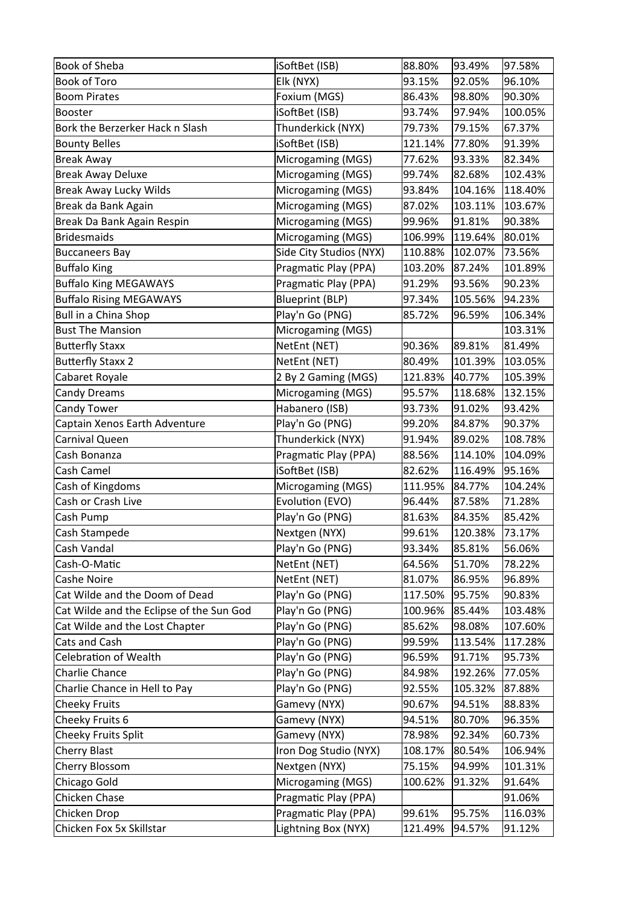| <b>Book of Sheba</b>                     | iSoftBet (ISB)          | 88.80%  | 93.49%  | 97.58%  |
|------------------------------------------|-------------------------|---------|---------|---------|
| <b>Book of Toro</b>                      | Elk (NYX)               | 93.15%  | 92.05%  | 96.10%  |
| <b>Boom Pirates</b>                      | Foxium (MGS)            | 86.43%  | 98.80%  | 90.30%  |
| Booster                                  | iSoftBet (ISB)          | 93.74%  | 97.94%  | 100.05% |
| Bork the Berzerker Hack n Slash          | Thunderkick (NYX)       | 79.73%  | 79.15%  | 67.37%  |
| <b>Bounty Belles</b>                     | iSoftBet (ISB)          | 121.14% | 77.80%  | 91.39%  |
| <b>Break Away</b>                        | Microgaming (MGS)       | 77.62%  | 93.33%  | 82.34%  |
| <b>Break Away Deluxe</b>                 | Microgaming (MGS)       | 99.74%  | 82.68%  | 102.43% |
| <b>Break Away Lucky Wilds</b>            | Microgaming (MGS)       | 93.84%  | 104.16% | 118.40% |
| Break da Bank Again                      | Microgaming (MGS)       | 87.02%  | 103.11% | 103.67% |
| Break Da Bank Again Respin               | Microgaming (MGS)       | 99.96%  | 91.81%  | 90.38%  |
| <b>Bridesmaids</b>                       | Microgaming (MGS)       | 106.99% | 119.64% | 80.01%  |
| <b>Buccaneers Bay</b>                    | Side City Studios (NYX) | 110.88% | 102.07% | 73.56%  |
| <b>Buffalo King</b>                      | Pragmatic Play (PPA)    | 103.20% | 87.24%  | 101.89% |
| <b>Buffalo King MEGAWAYS</b>             | Pragmatic Play (PPA)    | 91.29%  | 93.56%  | 90.23%  |
| <b>Buffalo Rising MEGAWAYS</b>           | <b>Blueprint (BLP)</b>  | 97.34%  | 105.56% | 94.23%  |
| Bull in a China Shop                     | Play'n Go (PNG)         | 85.72%  | 96.59%  | 106.34% |
| <b>Bust The Mansion</b>                  | Microgaming (MGS)       |         |         | 103.31% |
| <b>Butterfly Staxx</b>                   | NetEnt (NET)            | 90.36%  | 89.81%  | 81.49%  |
| <b>Butterfly Staxx 2</b>                 | NetEnt (NET)            | 80.49%  | 101.39% | 103.05% |
| Cabaret Royale                           | 2 By 2 Gaming (MGS)     | 121.83% | 40.77%  | 105.39% |
| <b>Candy Dreams</b>                      | Microgaming (MGS)       | 95.57%  | 118.68% | 132.15% |
| Candy Tower                              | Habanero (ISB)          | 93.73%  | 91.02%  | 93.42%  |
| Captain Xenos Earth Adventure            | Play'n Go (PNG)         | 99.20%  | 84.87%  | 90.37%  |
| Carnival Queen                           | Thunderkick (NYX)       | 91.94%  | 89.02%  | 108.78% |
| Cash Bonanza                             | Pragmatic Play (PPA)    | 88.56%  | 114.10% | 104.09% |
| Cash Camel                               | iSoftBet (ISB)          | 82.62%  | 116.49% | 95.16%  |
| Cash of Kingdoms                         | Microgaming (MGS)       | 111.95% | 84.77%  | 104.24% |
| Cash or Crash Live                       | Evolution (EVO)         | 96.44%  | 87.58%  | 71.28%  |
| Cash Pump                                | Play'n Go (PNG)         | 81.63%  | 84.35%  | 85.42%  |
| Cash Stampede                            | Nextgen (NYX)           | 99.61%  | 120.38% | 73.17%  |
| Cash Vandal                              | Play'n Go (PNG)         | 93.34%  | 85.81%  | 56.06%  |
| Cash-O-Matic                             | NetEnt (NET)            | 64.56%  | 51.70%  | 78.22%  |
| <b>Cashe Noire</b>                       | NetEnt (NET)            | 81.07%  | 86.95%  | 96.89%  |
| Cat Wilde and the Doom of Dead           | Play'n Go (PNG)         | 117.50% | 95.75%  | 90.83%  |
| Cat Wilde and the Eclipse of the Sun God | Play'n Go (PNG)         | 100.96% | 85.44%  | 103.48% |
| Cat Wilde and the Lost Chapter           | Play'n Go (PNG)         | 85.62%  | 98.08%  | 107.60% |
| Cats and Cash                            | Play'n Go (PNG)         | 99.59%  | 113.54% | 117.28% |
| <b>Celebration of Wealth</b>             | Play'n Go (PNG)         | 96.59%  | 91.71%  | 95.73%  |
| <b>Charlie Chance</b>                    | Play'n Go (PNG)         | 84.98%  | 192.26% | 77.05%  |
| Charlie Chance in Hell to Pay            | Play'n Go (PNG)         | 92.55%  | 105.32% | 87.88%  |
| <b>Cheeky Fruits</b>                     | Gamevy (NYX)            | 90.67%  | 94.51%  | 88.83%  |
| Cheeky Fruits 6                          | Gamevy (NYX)            | 94.51%  | 80.70%  | 96.35%  |
| Cheeky Fruits Split                      | Gamevy (NYX)            | 78.98%  | 92.34%  | 60.73%  |
| Cherry Blast                             |                         |         | 80.54%  | 106.94% |
|                                          | Iron Dog Studio (NYX)   | 108.17% |         |         |
| Cherry Blossom                           | Nextgen (NYX)           | 75.15%  | 94.99%  | 101.31% |
| Chicago Gold                             | Microgaming (MGS)       | 100.62% | 91.32%  | 91.64%  |
| Chicken Chase                            | Pragmatic Play (PPA)    |         |         | 91.06%  |
| Chicken Drop                             | Pragmatic Play (PPA)    | 99.61%  | 95.75%  | 116.03% |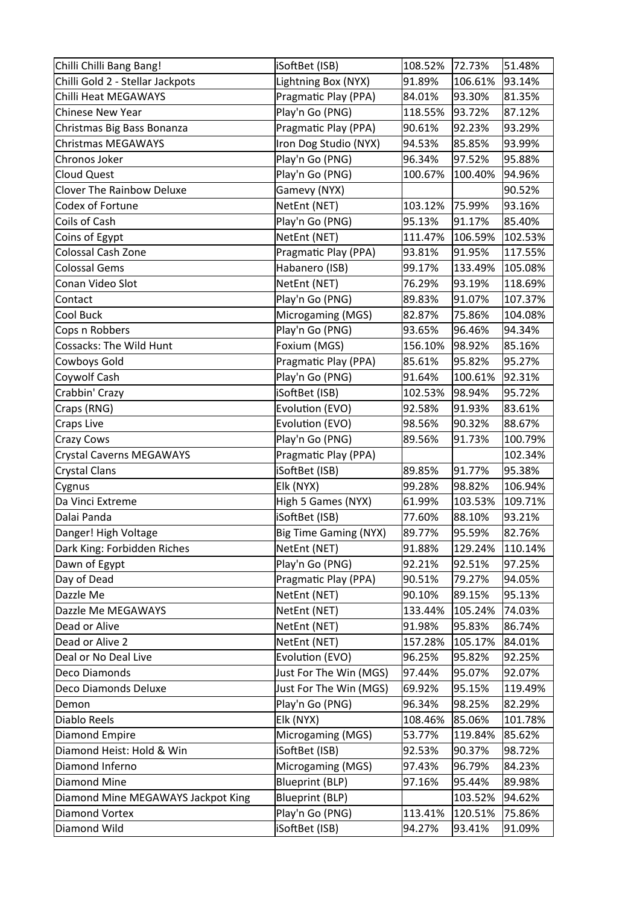| Chilli Chilli Bang Bang!           | iSoftBet (ISB)               | 108.52% | 72.73%  | 51.48%  |
|------------------------------------|------------------------------|---------|---------|---------|
| Chilli Gold 2 - Stellar Jackpots   | Lightning Box (NYX)          | 91.89%  | 106.61% | 93.14%  |
| Chilli Heat MEGAWAYS               | Pragmatic Play (PPA)         | 84.01%  | 93.30%  | 81.35%  |
| <b>Chinese New Year</b>            | Play'n Go (PNG)              | 118.55% | 93.72%  | 87.12%  |
| Christmas Big Bass Bonanza         | Pragmatic Play (PPA)         | 90.61%  | 92.23%  | 93.29%  |
| <b>Christmas MEGAWAYS</b>          | Iron Dog Studio (NYX)        | 94.53%  | 85.85%  | 93.99%  |
| Chronos Joker                      | Play'n Go (PNG)              | 96.34%  | 97.52%  | 95.88%  |
| <b>Cloud Quest</b>                 | Play'n Go (PNG)              | 100.67% | 100.40% | 94.96%  |
| <b>Clover The Rainbow Deluxe</b>   | Gamevy (NYX)                 |         |         | 90.52%  |
| Codex of Fortune                   | NetEnt (NET)                 | 103.12% | 75.99%  | 93.16%  |
| Coils of Cash                      | Play'n Go (PNG)              | 95.13%  | 91.17%  | 85.40%  |
| Coins of Egypt                     | NetEnt (NET)                 | 111.47% | 106.59% | 102.53% |
| Colossal Cash Zone                 | Pragmatic Play (PPA)         | 93.81%  | 91.95%  | 117.55% |
| <b>Colossal Gems</b>               | Habanero (ISB)               | 99.17%  | 133.49% | 105.08% |
| Conan Video Slot                   | NetEnt (NET)                 | 76.29%  | 93.19%  | 118.69% |
| Contact                            | Play'n Go (PNG)              | 89.83%  | 91.07%  | 107.37% |
| Cool Buck                          | Microgaming (MGS)            | 82.87%  | 75.86%  | 104.08% |
| Cops n Robbers                     | Play'n Go (PNG)              | 93.65%  | 96.46%  | 94.34%  |
| <b>Cossacks: The Wild Hunt</b>     | Foxium (MGS)                 | 156.10% | 98.92%  | 85.16%  |
| Cowboys Gold                       | Pragmatic Play (PPA)         | 85.61%  | 95.82%  | 95.27%  |
| Coywolf Cash                       | Play'n Go (PNG)              | 91.64%  | 100.61% | 92.31%  |
| Crabbin' Crazy                     | iSoftBet (ISB)               | 102.53% | 98.94%  | 95.72%  |
| Craps (RNG)                        | Evolution (EVO)              | 92.58%  | 91.93%  | 83.61%  |
| Craps Live                         | Evolution (EVO)              | 98.56%  | 90.32%  | 88.67%  |
| Crazy Cows                         | Play'n Go (PNG)              | 89.56%  | 91.73%  | 100.79% |
| Crystal Caverns MEGAWAYS           | Pragmatic Play (PPA)         |         |         | 102.34% |
| <b>Crystal Clans</b>               | iSoftBet (ISB)               | 89.85%  | 91.77%  | 95.38%  |
| Cygnus                             | Elk (NYX)                    | 99.28%  | 98.82%  | 106.94% |
| Da Vinci Extreme                   | High 5 Games (NYX)           | 61.99%  | 103.53% | 109.71% |
| Dalai Panda                        | iSoftBet (ISB)               | 77.60%  | 88.10%  | 93.21%  |
| Danger! High Voltage               | <b>Big Time Gaming (NYX)</b> | 89.77%  | 95.59%  | 82.76%  |
| Dark King: Forbidden Riches        | NetEnt (NET)                 | 91.88%  | 129.24% | 110.14% |
| Dawn of Egypt                      | Play'n Go (PNG)              | 92.21%  | 92.51%  | 97.25%  |
| Day of Dead                        | Pragmatic Play (PPA)         | 90.51%  | 79.27%  | 94.05%  |
| Dazzle Me                          | NetEnt (NET)                 | 90.10%  | 89.15%  | 95.13%  |
| Dazzle Me MEGAWAYS                 | NetEnt (NET)                 | 133.44% | 105.24% | 74.03%  |
| Dead or Alive                      | NetEnt (NET)                 | 91.98%  | 95.83%  | 86.74%  |
| Dead or Alive 2                    | NetEnt (NET)                 | 157.28% | 105.17% | 84.01%  |
| Deal or No Deal Live               | Evolution (EVO)              | 96.25%  | 95.82%  | 92.25%  |
| Deco Diamonds                      | Just For The Win (MGS)       | 97.44%  | 95.07%  | 92.07%  |
| Deco Diamonds Deluxe               | Just For The Win (MGS)       | 69.92%  | 95.15%  | 119.49% |
| Demon                              | Play'n Go (PNG)              | 96.34%  | 98.25%  | 82.29%  |
| Diablo Reels                       | Elk (NYX)                    | 108.46% | 85.06%  | 101.78% |
| Diamond Empire                     | Microgaming (MGS)            | 53.77%  | 119.84% | 85.62%  |
| Diamond Heist: Hold & Win          | iSoftBet (ISB)               | 92.53%  | 90.37%  | 98.72%  |
| Diamond Inferno                    | Microgaming (MGS)            | 97.43%  | 96.79%  | 84.23%  |
| Diamond Mine                       | <b>Blueprint (BLP)</b>       | 97.16%  | 95.44%  | 89.98%  |
| Diamond Mine MEGAWAYS Jackpot King | <b>Blueprint (BLP)</b>       |         | 103.52% | 94.62%  |
| <b>Diamond Vortex</b>              | Play'n Go (PNG)              | 113.41% | 120.51% | 75.86%  |
| Diamond Wild                       | iSoftBet (ISB)               | 94.27%  | 93.41%  | 91.09%  |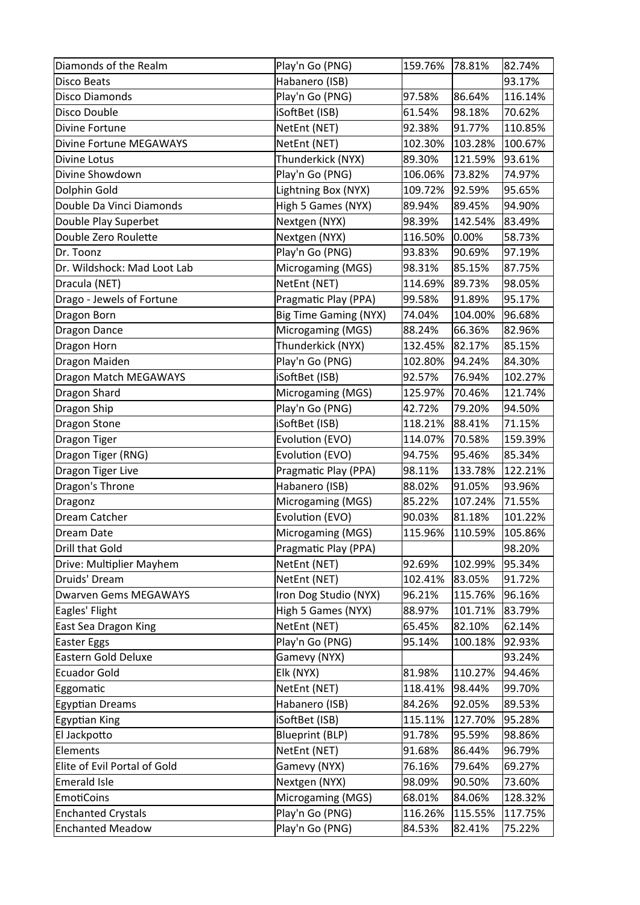| Habanero (ISB)<br>93.17%<br><b>Disco Beats</b><br>Play'n Go (PNG)<br>97.58%<br>86.64%<br>116.14%<br>Disco Diamonds<br>iSoftBet (ISB)<br>Disco Double<br>70.62%<br>61.54%<br>98.18%<br>NetEnt (NET)<br>Divine Fortune<br>92.38%<br>91.77%<br>110.85%<br>NetEnt (NET)<br>Divine Fortune MEGAWAYS<br>100.67%<br>102.30%<br>103.28%<br>Thunderkick (NYX)<br>89.30%<br>Divine Lotus<br>121.59%<br>93.61%<br>Divine Showdown<br>Play'n Go (PNG)<br>106.06%<br>73.82%<br>74.97%<br>Lightning Box (NYX)<br>Dolphin Gold<br>109.72%<br>92.59%<br>95.65%<br>Double Da Vinci Diamonds<br>High 5 Games (NYX)<br>89.94%<br>94.90%<br>89.45%<br>Double Play Superbet<br>Nextgen (NYX)<br>98.39%<br>142.54%<br>83.49%<br>Nextgen (NYX)<br>Double Zero Roulette<br>0.00%<br>58.73%<br>116.50%<br>Play'n Go (PNG)<br>Dr. Toonz<br>93.83%<br>90.69%<br>97.19%<br>Microgaming (MGS)<br>Dr. Wildshock: Mad Loot Lab<br>98.31%<br>85.15%<br>87.75%<br>NetEnt (NET)<br>114.69%<br>89.73%<br>Dracula (NET)<br>98.05%<br>Drago - Jewels of Fortune<br>Pragmatic Play (PPA)<br>99.58%<br>91.89%<br>95.17%<br><b>Big Time Gaming (NYX)</b><br>Dragon Born<br>74.04%<br>104.00%<br>96.68%<br>Microgaming (MGS)<br><b>Dragon Dance</b><br>82.96%<br>88.24%<br>66.36%<br>Dragon Horn<br>Thunderkick (NYX)<br>132.45%<br>82.17%<br>85.15%<br>Play'n Go (PNG)<br>Dragon Maiden<br>102.80%<br>94.24%<br>84.30%<br>Dragon Match MEGAWAYS<br>iSoftBet (ISB)<br>92.57%<br>76.94%<br>102.27%<br>Microgaming (MGS)<br>Dragon Shard<br>70.46%<br>121.74%<br>125.97%<br>Dragon Ship<br>Play'n Go (PNG)<br>42.72%<br>79.20%<br>94.50%<br>Dragon Stone<br>iSoftBet (ISB)<br>118.21%<br>88.41%<br>71.15%<br>Dragon Tiger<br>Evolution (EVO)<br>114.07%<br>70.58%<br>159.39%<br>Dragon Tiger (RNG)<br>Evolution (EVO)<br>94.75%<br>95.46%<br>85.34%<br>Dragon Tiger Live<br>Pragmatic Play (PPA)<br>133.78%<br>122.21%<br>98.11%<br>Dragon's Throne<br>Habanero (ISB)<br>88.02%<br>91.05%<br>93.96%<br>85.22%<br>107.24%<br>Microgaming (MGS)<br>71.55%<br>Dragonz<br>Evolution (EVO)<br>Dream Catcher<br>90.03%<br>81.18%<br>101.22%<br>Microgaming (MGS)<br>115.96%<br>110.59%<br>105.86%<br>Dream Date<br>Drill that Gold<br>Pragmatic Play (PPA)<br>98.20%<br>NetEnt (NET)<br>Drive: Multiplier Mayhem<br>92.69%<br>95.34%<br>102.99%<br>Druids' Dream<br>NetEnt (NET)<br>102.41%<br>83.05%<br>91.72%<br><b>Dwarven Gems MEGAWAYS</b><br>Iron Dog Studio (NYX)<br>96.21%<br>115.76%<br>96.16%<br>Eagles' Flight<br>High 5 Games (NYX)<br>88.97%<br>83.79%<br>101.71%<br>NetEnt (NET)<br>65.45%<br>82.10%<br>62.14%<br>East Sea Dragon King<br>Play'n Go (PNG)<br>95.14%<br>92.93%<br><b>Easter Eggs</b><br>100.18%<br>Eastern Gold Deluxe<br>Gamevy (NYX)<br>93.24%<br><b>Ecuador Gold</b><br>Elk (NYX)<br>81.98%<br>110.27%<br>94.46%<br>NetEnt (NET)<br>118.41%<br>98.44%<br>99.70%<br>Eggomatic<br><b>Egyptian Dreams</b><br>Habanero (ISB)<br>84.26%<br>92.05%<br>89.53%<br>iSoftBet (ISB)<br>Egyptian King<br>115.11%<br>127.70%<br>95.28%<br>El Jackpotto<br><b>Blueprint (BLP)</b><br>98.86%<br>91.78%<br>95.59%<br>Elements<br>NetEnt (NET)<br>96.79%<br>91.68%<br>86.44%<br>Elite of Evil Portal of Gold<br>76.16%<br>69.27%<br>Gamevy (NYX)<br>79.64%<br>Emerald Isle<br>Nextgen (NYX)<br>98.09%<br>73.60%<br>90.50%<br><b>EmotiCoins</b><br>Microgaming (MGS)<br>68.01%<br>84.06%<br>128.32%<br>Play'n Go (PNG)<br><b>Enchanted Crystals</b><br>116.26%<br>117.75%<br>115.55%<br>Play'n Go (PNG)<br><b>Enchanted Meadow</b><br>84.53%<br>82.41%<br>75.22% | Diamonds of the Realm | Play'n Go (PNG) | 159.76% | 78.81% | 82.74% |
|-------------------------------------------------------------------------------------------------------------------------------------------------------------------------------------------------------------------------------------------------------------------------------------------------------------------------------------------------------------------------------------------------------------------------------------------------------------------------------------------------------------------------------------------------------------------------------------------------------------------------------------------------------------------------------------------------------------------------------------------------------------------------------------------------------------------------------------------------------------------------------------------------------------------------------------------------------------------------------------------------------------------------------------------------------------------------------------------------------------------------------------------------------------------------------------------------------------------------------------------------------------------------------------------------------------------------------------------------------------------------------------------------------------------------------------------------------------------------------------------------------------------------------------------------------------------------------------------------------------------------------------------------------------------------------------------------------------------------------------------------------------------------------------------------------------------------------------------------------------------------------------------------------------------------------------------------------------------------------------------------------------------------------------------------------------------------------------------------------------------------------------------------------------------------------------------------------------------------------------------------------------------------------------------------------------------------------------------------------------------------------------------------------------------------------------------------------------------------------------------------------------------------------------------------------------------------------------------------------------------------------------------------------------------------------------------------------------------------------------------------------------------------------------------------------------------------------------------------------------------------------------------------------------------------------------------------------------------------------------------------------------------------------------------------------------------------------------------------------------------------------------------------------------------------------------------------------------------------------------------------------------------------------------------------------------------------------------------------------------------------------------------------------------------------------------------------------------------------------------------------------------------------------|-----------------------|-----------------|---------|--------|--------|
|                                                                                                                                                                                                                                                                                                                                                                                                                                                                                                                                                                                                                                                                                                                                                                                                                                                                                                                                                                                                                                                                                                                                                                                                                                                                                                                                                                                                                                                                                                                                                                                                                                                                                                                                                                                                                                                                                                                                                                                                                                                                                                                                                                                                                                                                                                                                                                                                                                                                                                                                                                                                                                                                                                                                                                                                                                                                                                                                                                                                                                                                                                                                                                                                                                                                                                                                                                                                                                                                                                                               |                       |                 |         |        |        |
|                                                                                                                                                                                                                                                                                                                                                                                                                                                                                                                                                                                                                                                                                                                                                                                                                                                                                                                                                                                                                                                                                                                                                                                                                                                                                                                                                                                                                                                                                                                                                                                                                                                                                                                                                                                                                                                                                                                                                                                                                                                                                                                                                                                                                                                                                                                                                                                                                                                                                                                                                                                                                                                                                                                                                                                                                                                                                                                                                                                                                                                                                                                                                                                                                                                                                                                                                                                                                                                                                                                               |                       |                 |         |        |        |
|                                                                                                                                                                                                                                                                                                                                                                                                                                                                                                                                                                                                                                                                                                                                                                                                                                                                                                                                                                                                                                                                                                                                                                                                                                                                                                                                                                                                                                                                                                                                                                                                                                                                                                                                                                                                                                                                                                                                                                                                                                                                                                                                                                                                                                                                                                                                                                                                                                                                                                                                                                                                                                                                                                                                                                                                                                                                                                                                                                                                                                                                                                                                                                                                                                                                                                                                                                                                                                                                                                                               |                       |                 |         |        |        |
|                                                                                                                                                                                                                                                                                                                                                                                                                                                                                                                                                                                                                                                                                                                                                                                                                                                                                                                                                                                                                                                                                                                                                                                                                                                                                                                                                                                                                                                                                                                                                                                                                                                                                                                                                                                                                                                                                                                                                                                                                                                                                                                                                                                                                                                                                                                                                                                                                                                                                                                                                                                                                                                                                                                                                                                                                                                                                                                                                                                                                                                                                                                                                                                                                                                                                                                                                                                                                                                                                                                               |                       |                 |         |        |        |
|                                                                                                                                                                                                                                                                                                                                                                                                                                                                                                                                                                                                                                                                                                                                                                                                                                                                                                                                                                                                                                                                                                                                                                                                                                                                                                                                                                                                                                                                                                                                                                                                                                                                                                                                                                                                                                                                                                                                                                                                                                                                                                                                                                                                                                                                                                                                                                                                                                                                                                                                                                                                                                                                                                                                                                                                                                                                                                                                                                                                                                                                                                                                                                                                                                                                                                                                                                                                                                                                                                                               |                       |                 |         |        |        |
|                                                                                                                                                                                                                                                                                                                                                                                                                                                                                                                                                                                                                                                                                                                                                                                                                                                                                                                                                                                                                                                                                                                                                                                                                                                                                                                                                                                                                                                                                                                                                                                                                                                                                                                                                                                                                                                                                                                                                                                                                                                                                                                                                                                                                                                                                                                                                                                                                                                                                                                                                                                                                                                                                                                                                                                                                                                                                                                                                                                                                                                                                                                                                                                                                                                                                                                                                                                                                                                                                                                               |                       |                 |         |        |        |
|                                                                                                                                                                                                                                                                                                                                                                                                                                                                                                                                                                                                                                                                                                                                                                                                                                                                                                                                                                                                                                                                                                                                                                                                                                                                                                                                                                                                                                                                                                                                                                                                                                                                                                                                                                                                                                                                                                                                                                                                                                                                                                                                                                                                                                                                                                                                                                                                                                                                                                                                                                                                                                                                                                                                                                                                                                                                                                                                                                                                                                                                                                                                                                                                                                                                                                                                                                                                                                                                                                                               |                       |                 |         |        |        |
|                                                                                                                                                                                                                                                                                                                                                                                                                                                                                                                                                                                                                                                                                                                                                                                                                                                                                                                                                                                                                                                                                                                                                                                                                                                                                                                                                                                                                                                                                                                                                                                                                                                                                                                                                                                                                                                                                                                                                                                                                                                                                                                                                                                                                                                                                                                                                                                                                                                                                                                                                                                                                                                                                                                                                                                                                                                                                                                                                                                                                                                                                                                                                                                                                                                                                                                                                                                                                                                                                                                               |                       |                 |         |        |        |
|                                                                                                                                                                                                                                                                                                                                                                                                                                                                                                                                                                                                                                                                                                                                                                                                                                                                                                                                                                                                                                                                                                                                                                                                                                                                                                                                                                                                                                                                                                                                                                                                                                                                                                                                                                                                                                                                                                                                                                                                                                                                                                                                                                                                                                                                                                                                                                                                                                                                                                                                                                                                                                                                                                                                                                                                                                                                                                                                                                                                                                                                                                                                                                                                                                                                                                                                                                                                                                                                                                                               |                       |                 |         |        |        |
|                                                                                                                                                                                                                                                                                                                                                                                                                                                                                                                                                                                                                                                                                                                                                                                                                                                                                                                                                                                                                                                                                                                                                                                                                                                                                                                                                                                                                                                                                                                                                                                                                                                                                                                                                                                                                                                                                                                                                                                                                                                                                                                                                                                                                                                                                                                                                                                                                                                                                                                                                                                                                                                                                                                                                                                                                                                                                                                                                                                                                                                                                                                                                                                                                                                                                                                                                                                                                                                                                                                               |                       |                 |         |        |        |
|                                                                                                                                                                                                                                                                                                                                                                                                                                                                                                                                                                                                                                                                                                                                                                                                                                                                                                                                                                                                                                                                                                                                                                                                                                                                                                                                                                                                                                                                                                                                                                                                                                                                                                                                                                                                                                                                                                                                                                                                                                                                                                                                                                                                                                                                                                                                                                                                                                                                                                                                                                                                                                                                                                                                                                                                                                                                                                                                                                                                                                                                                                                                                                                                                                                                                                                                                                                                                                                                                                                               |                       |                 |         |        |        |
|                                                                                                                                                                                                                                                                                                                                                                                                                                                                                                                                                                                                                                                                                                                                                                                                                                                                                                                                                                                                                                                                                                                                                                                                                                                                                                                                                                                                                                                                                                                                                                                                                                                                                                                                                                                                                                                                                                                                                                                                                                                                                                                                                                                                                                                                                                                                                                                                                                                                                                                                                                                                                                                                                                                                                                                                                                                                                                                                                                                                                                                                                                                                                                                                                                                                                                                                                                                                                                                                                                                               |                       |                 |         |        |        |
|                                                                                                                                                                                                                                                                                                                                                                                                                                                                                                                                                                                                                                                                                                                                                                                                                                                                                                                                                                                                                                                                                                                                                                                                                                                                                                                                                                                                                                                                                                                                                                                                                                                                                                                                                                                                                                                                                                                                                                                                                                                                                                                                                                                                                                                                                                                                                                                                                                                                                                                                                                                                                                                                                                                                                                                                                                                                                                                                                                                                                                                                                                                                                                                                                                                                                                                                                                                                                                                                                                                               |                       |                 |         |        |        |
|                                                                                                                                                                                                                                                                                                                                                                                                                                                                                                                                                                                                                                                                                                                                                                                                                                                                                                                                                                                                                                                                                                                                                                                                                                                                                                                                                                                                                                                                                                                                                                                                                                                                                                                                                                                                                                                                                                                                                                                                                                                                                                                                                                                                                                                                                                                                                                                                                                                                                                                                                                                                                                                                                                                                                                                                                                                                                                                                                                                                                                                                                                                                                                                                                                                                                                                                                                                                                                                                                                                               |                       |                 |         |        |        |
|                                                                                                                                                                                                                                                                                                                                                                                                                                                                                                                                                                                                                                                                                                                                                                                                                                                                                                                                                                                                                                                                                                                                                                                                                                                                                                                                                                                                                                                                                                                                                                                                                                                                                                                                                                                                                                                                                                                                                                                                                                                                                                                                                                                                                                                                                                                                                                                                                                                                                                                                                                                                                                                                                                                                                                                                                                                                                                                                                                                                                                                                                                                                                                                                                                                                                                                                                                                                                                                                                                                               |                       |                 |         |        |        |
|                                                                                                                                                                                                                                                                                                                                                                                                                                                                                                                                                                                                                                                                                                                                                                                                                                                                                                                                                                                                                                                                                                                                                                                                                                                                                                                                                                                                                                                                                                                                                                                                                                                                                                                                                                                                                                                                                                                                                                                                                                                                                                                                                                                                                                                                                                                                                                                                                                                                                                                                                                                                                                                                                                                                                                                                                                                                                                                                                                                                                                                                                                                                                                                                                                                                                                                                                                                                                                                                                                                               |                       |                 |         |        |        |
|                                                                                                                                                                                                                                                                                                                                                                                                                                                                                                                                                                                                                                                                                                                                                                                                                                                                                                                                                                                                                                                                                                                                                                                                                                                                                                                                                                                                                                                                                                                                                                                                                                                                                                                                                                                                                                                                                                                                                                                                                                                                                                                                                                                                                                                                                                                                                                                                                                                                                                                                                                                                                                                                                                                                                                                                                                                                                                                                                                                                                                                                                                                                                                                                                                                                                                                                                                                                                                                                                                                               |                       |                 |         |        |        |
|                                                                                                                                                                                                                                                                                                                                                                                                                                                                                                                                                                                                                                                                                                                                                                                                                                                                                                                                                                                                                                                                                                                                                                                                                                                                                                                                                                                                                                                                                                                                                                                                                                                                                                                                                                                                                                                                                                                                                                                                                                                                                                                                                                                                                                                                                                                                                                                                                                                                                                                                                                                                                                                                                                                                                                                                                                                                                                                                                                                                                                                                                                                                                                                                                                                                                                                                                                                                                                                                                                                               |                       |                 |         |        |        |
|                                                                                                                                                                                                                                                                                                                                                                                                                                                                                                                                                                                                                                                                                                                                                                                                                                                                                                                                                                                                                                                                                                                                                                                                                                                                                                                                                                                                                                                                                                                                                                                                                                                                                                                                                                                                                                                                                                                                                                                                                                                                                                                                                                                                                                                                                                                                                                                                                                                                                                                                                                                                                                                                                                                                                                                                                                                                                                                                                                                                                                                                                                                                                                                                                                                                                                                                                                                                                                                                                                                               |                       |                 |         |        |        |
|                                                                                                                                                                                                                                                                                                                                                                                                                                                                                                                                                                                                                                                                                                                                                                                                                                                                                                                                                                                                                                                                                                                                                                                                                                                                                                                                                                                                                                                                                                                                                                                                                                                                                                                                                                                                                                                                                                                                                                                                                                                                                                                                                                                                                                                                                                                                                                                                                                                                                                                                                                                                                                                                                                                                                                                                                                                                                                                                                                                                                                                                                                                                                                                                                                                                                                                                                                                                                                                                                                                               |                       |                 |         |        |        |
|                                                                                                                                                                                                                                                                                                                                                                                                                                                                                                                                                                                                                                                                                                                                                                                                                                                                                                                                                                                                                                                                                                                                                                                                                                                                                                                                                                                                                                                                                                                                                                                                                                                                                                                                                                                                                                                                                                                                                                                                                                                                                                                                                                                                                                                                                                                                                                                                                                                                                                                                                                                                                                                                                                                                                                                                                                                                                                                                                                                                                                                                                                                                                                                                                                                                                                                                                                                                                                                                                                                               |                       |                 |         |        |        |
|                                                                                                                                                                                                                                                                                                                                                                                                                                                                                                                                                                                                                                                                                                                                                                                                                                                                                                                                                                                                                                                                                                                                                                                                                                                                                                                                                                                                                                                                                                                                                                                                                                                                                                                                                                                                                                                                                                                                                                                                                                                                                                                                                                                                                                                                                                                                                                                                                                                                                                                                                                                                                                                                                                                                                                                                                                                                                                                                                                                                                                                                                                                                                                                                                                                                                                                                                                                                                                                                                                                               |                       |                 |         |        |        |
|                                                                                                                                                                                                                                                                                                                                                                                                                                                                                                                                                                                                                                                                                                                                                                                                                                                                                                                                                                                                                                                                                                                                                                                                                                                                                                                                                                                                                                                                                                                                                                                                                                                                                                                                                                                                                                                                                                                                                                                                                                                                                                                                                                                                                                                                                                                                                                                                                                                                                                                                                                                                                                                                                                                                                                                                                                                                                                                                                                                                                                                                                                                                                                                                                                                                                                                                                                                                                                                                                                                               |                       |                 |         |        |        |
|                                                                                                                                                                                                                                                                                                                                                                                                                                                                                                                                                                                                                                                                                                                                                                                                                                                                                                                                                                                                                                                                                                                                                                                                                                                                                                                                                                                                                                                                                                                                                                                                                                                                                                                                                                                                                                                                                                                                                                                                                                                                                                                                                                                                                                                                                                                                                                                                                                                                                                                                                                                                                                                                                                                                                                                                                                                                                                                                                                                                                                                                                                                                                                                                                                                                                                                                                                                                                                                                                                                               |                       |                 |         |        |        |
|                                                                                                                                                                                                                                                                                                                                                                                                                                                                                                                                                                                                                                                                                                                                                                                                                                                                                                                                                                                                                                                                                                                                                                                                                                                                                                                                                                                                                                                                                                                                                                                                                                                                                                                                                                                                                                                                                                                                                                                                                                                                                                                                                                                                                                                                                                                                                                                                                                                                                                                                                                                                                                                                                                                                                                                                                                                                                                                                                                                                                                                                                                                                                                                                                                                                                                                                                                                                                                                                                                                               |                       |                 |         |        |        |
|                                                                                                                                                                                                                                                                                                                                                                                                                                                                                                                                                                                                                                                                                                                                                                                                                                                                                                                                                                                                                                                                                                                                                                                                                                                                                                                                                                                                                                                                                                                                                                                                                                                                                                                                                                                                                                                                                                                                                                                                                                                                                                                                                                                                                                                                                                                                                                                                                                                                                                                                                                                                                                                                                                                                                                                                                                                                                                                                                                                                                                                                                                                                                                                                                                                                                                                                                                                                                                                                                                                               |                       |                 |         |        |        |
|                                                                                                                                                                                                                                                                                                                                                                                                                                                                                                                                                                                                                                                                                                                                                                                                                                                                                                                                                                                                                                                                                                                                                                                                                                                                                                                                                                                                                                                                                                                                                                                                                                                                                                                                                                                                                                                                                                                                                                                                                                                                                                                                                                                                                                                                                                                                                                                                                                                                                                                                                                                                                                                                                                                                                                                                                                                                                                                                                                                                                                                                                                                                                                                                                                                                                                                                                                                                                                                                                                                               |                       |                 |         |        |        |
|                                                                                                                                                                                                                                                                                                                                                                                                                                                                                                                                                                                                                                                                                                                                                                                                                                                                                                                                                                                                                                                                                                                                                                                                                                                                                                                                                                                                                                                                                                                                                                                                                                                                                                                                                                                                                                                                                                                                                                                                                                                                                                                                                                                                                                                                                                                                                                                                                                                                                                                                                                                                                                                                                                                                                                                                                                                                                                                                                                                                                                                                                                                                                                                                                                                                                                                                                                                                                                                                                                                               |                       |                 |         |        |        |
|                                                                                                                                                                                                                                                                                                                                                                                                                                                                                                                                                                                                                                                                                                                                                                                                                                                                                                                                                                                                                                                                                                                                                                                                                                                                                                                                                                                                                                                                                                                                                                                                                                                                                                                                                                                                                                                                                                                                                                                                                                                                                                                                                                                                                                                                                                                                                                                                                                                                                                                                                                                                                                                                                                                                                                                                                                                                                                                                                                                                                                                                                                                                                                                                                                                                                                                                                                                                                                                                                                                               |                       |                 |         |        |        |
|                                                                                                                                                                                                                                                                                                                                                                                                                                                                                                                                                                                                                                                                                                                                                                                                                                                                                                                                                                                                                                                                                                                                                                                                                                                                                                                                                                                                                                                                                                                                                                                                                                                                                                                                                                                                                                                                                                                                                                                                                                                                                                                                                                                                                                                                                                                                                                                                                                                                                                                                                                                                                                                                                                                                                                                                                                                                                                                                                                                                                                                                                                                                                                                                                                                                                                                                                                                                                                                                                                                               |                       |                 |         |        |        |
|                                                                                                                                                                                                                                                                                                                                                                                                                                                                                                                                                                                                                                                                                                                                                                                                                                                                                                                                                                                                                                                                                                                                                                                                                                                                                                                                                                                                                                                                                                                                                                                                                                                                                                                                                                                                                                                                                                                                                                                                                                                                                                                                                                                                                                                                                                                                                                                                                                                                                                                                                                                                                                                                                                                                                                                                                                                                                                                                                                                                                                                                                                                                                                                                                                                                                                                                                                                                                                                                                                                               |                       |                 |         |        |        |
|                                                                                                                                                                                                                                                                                                                                                                                                                                                                                                                                                                                                                                                                                                                                                                                                                                                                                                                                                                                                                                                                                                                                                                                                                                                                                                                                                                                                                                                                                                                                                                                                                                                                                                                                                                                                                                                                                                                                                                                                                                                                                                                                                                                                                                                                                                                                                                                                                                                                                                                                                                                                                                                                                                                                                                                                                                                                                                                                                                                                                                                                                                                                                                                                                                                                                                                                                                                                                                                                                                                               |                       |                 |         |        |        |
|                                                                                                                                                                                                                                                                                                                                                                                                                                                                                                                                                                                                                                                                                                                                                                                                                                                                                                                                                                                                                                                                                                                                                                                                                                                                                                                                                                                                                                                                                                                                                                                                                                                                                                                                                                                                                                                                                                                                                                                                                                                                                                                                                                                                                                                                                                                                                                                                                                                                                                                                                                                                                                                                                                                                                                                                                                                                                                                                                                                                                                                                                                                                                                                                                                                                                                                                                                                                                                                                                                                               |                       |                 |         |        |        |
|                                                                                                                                                                                                                                                                                                                                                                                                                                                                                                                                                                                                                                                                                                                                                                                                                                                                                                                                                                                                                                                                                                                                                                                                                                                                                                                                                                                                                                                                                                                                                                                                                                                                                                                                                                                                                                                                                                                                                                                                                                                                                                                                                                                                                                                                                                                                                                                                                                                                                                                                                                                                                                                                                                                                                                                                                                                                                                                                                                                                                                                                                                                                                                                                                                                                                                                                                                                                                                                                                                                               |                       |                 |         |        |        |
|                                                                                                                                                                                                                                                                                                                                                                                                                                                                                                                                                                                                                                                                                                                                                                                                                                                                                                                                                                                                                                                                                                                                                                                                                                                                                                                                                                                                                                                                                                                                                                                                                                                                                                                                                                                                                                                                                                                                                                                                                                                                                                                                                                                                                                                                                                                                                                                                                                                                                                                                                                                                                                                                                                                                                                                                                                                                                                                                                                                                                                                                                                                                                                                                                                                                                                                                                                                                                                                                                                                               |                       |                 |         |        |        |
|                                                                                                                                                                                                                                                                                                                                                                                                                                                                                                                                                                                                                                                                                                                                                                                                                                                                                                                                                                                                                                                                                                                                                                                                                                                                                                                                                                                                                                                                                                                                                                                                                                                                                                                                                                                                                                                                                                                                                                                                                                                                                                                                                                                                                                                                                                                                                                                                                                                                                                                                                                                                                                                                                                                                                                                                                                                                                                                                                                                                                                                                                                                                                                                                                                                                                                                                                                                                                                                                                                                               |                       |                 |         |        |        |
|                                                                                                                                                                                                                                                                                                                                                                                                                                                                                                                                                                                                                                                                                                                                                                                                                                                                                                                                                                                                                                                                                                                                                                                                                                                                                                                                                                                                                                                                                                                                                                                                                                                                                                                                                                                                                                                                                                                                                                                                                                                                                                                                                                                                                                                                                                                                                                                                                                                                                                                                                                                                                                                                                                                                                                                                                                                                                                                                                                                                                                                                                                                                                                                                                                                                                                                                                                                                                                                                                                                               |                       |                 |         |        |        |
|                                                                                                                                                                                                                                                                                                                                                                                                                                                                                                                                                                                                                                                                                                                                                                                                                                                                                                                                                                                                                                                                                                                                                                                                                                                                                                                                                                                                                                                                                                                                                                                                                                                                                                                                                                                                                                                                                                                                                                                                                                                                                                                                                                                                                                                                                                                                                                                                                                                                                                                                                                                                                                                                                                                                                                                                                                                                                                                                                                                                                                                                                                                                                                                                                                                                                                                                                                                                                                                                                                                               |                       |                 |         |        |        |
|                                                                                                                                                                                                                                                                                                                                                                                                                                                                                                                                                                                                                                                                                                                                                                                                                                                                                                                                                                                                                                                                                                                                                                                                                                                                                                                                                                                                                                                                                                                                                                                                                                                                                                                                                                                                                                                                                                                                                                                                                                                                                                                                                                                                                                                                                                                                                                                                                                                                                                                                                                                                                                                                                                                                                                                                                                                                                                                                                                                                                                                                                                                                                                                                                                                                                                                                                                                                                                                                                                                               |                       |                 |         |        |        |
|                                                                                                                                                                                                                                                                                                                                                                                                                                                                                                                                                                                                                                                                                                                                                                                                                                                                                                                                                                                                                                                                                                                                                                                                                                                                                                                                                                                                                                                                                                                                                                                                                                                                                                                                                                                                                                                                                                                                                                                                                                                                                                                                                                                                                                                                                                                                                                                                                                                                                                                                                                                                                                                                                                                                                                                                                                                                                                                                                                                                                                                                                                                                                                                                                                                                                                                                                                                                                                                                                                                               |                       |                 |         |        |        |
|                                                                                                                                                                                                                                                                                                                                                                                                                                                                                                                                                                                                                                                                                                                                                                                                                                                                                                                                                                                                                                                                                                                                                                                                                                                                                                                                                                                                                                                                                                                                                                                                                                                                                                                                                                                                                                                                                                                                                                                                                                                                                                                                                                                                                                                                                                                                                                                                                                                                                                                                                                                                                                                                                                                                                                                                                                                                                                                                                                                                                                                                                                                                                                                                                                                                                                                                                                                                                                                                                                                               |                       |                 |         |        |        |
|                                                                                                                                                                                                                                                                                                                                                                                                                                                                                                                                                                                                                                                                                                                                                                                                                                                                                                                                                                                                                                                                                                                                                                                                                                                                                                                                                                                                                                                                                                                                                                                                                                                                                                                                                                                                                                                                                                                                                                                                                                                                                                                                                                                                                                                                                                                                                                                                                                                                                                                                                                                                                                                                                                                                                                                                                                                                                                                                                                                                                                                                                                                                                                                                                                                                                                                                                                                                                                                                                                                               |                       |                 |         |        |        |
|                                                                                                                                                                                                                                                                                                                                                                                                                                                                                                                                                                                                                                                                                                                                                                                                                                                                                                                                                                                                                                                                                                                                                                                                                                                                                                                                                                                                                                                                                                                                                                                                                                                                                                                                                                                                                                                                                                                                                                                                                                                                                                                                                                                                                                                                                                                                                                                                                                                                                                                                                                                                                                                                                                                                                                                                                                                                                                                                                                                                                                                                                                                                                                                                                                                                                                                                                                                                                                                                                                                               |                       |                 |         |        |        |
|                                                                                                                                                                                                                                                                                                                                                                                                                                                                                                                                                                                                                                                                                                                                                                                                                                                                                                                                                                                                                                                                                                                                                                                                                                                                                                                                                                                                                                                                                                                                                                                                                                                                                                                                                                                                                                                                                                                                                                                                                                                                                                                                                                                                                                                                                                                                                                                                                                                                                                                                                                                                                                                                                                                                                                                                                                                                                                                                                                                                                                                                                                                                                                                                                                                                                                                                                                                                                                                                                                                               |                       |                 |         |        |        |
|                                                                                                                                                                                                                                                                                                                                                                                                                                                                                                                                                                                                                                                                                                                                                                                                                                                                                                                                                                                                                                                                                                                                                                                                                                                                                                                                                                                                                                                                                                                                                                                                                                                                                                                                                                                                                                                                                                                                                                                                                                                                                                                                                                                                                                                                                                                                                                                                                                                                                                                                                                                                                                                                                                                                                                                                                                                                                                                                                                                                                                                                                                                                                                                                                                                                                                                                                                                                                                                                                                                               |                       |                 |         |        |        |
|                                                                                                                                                                                                                                                                                                                                                                                                                                                                                                                                                                                                                                                                                                                                                                                                                                                                                                                                                                                                                                                                                                                                                                                                                                                                                                                                                                                                                                                                                                                                                                                                                                                                                                                                                                                                                                                                                                                                                                                                                                                                                                                                                                                                                                                                                                                                                                                                                                                                                                                                                                                                                                                                                                                                                                                                                                                                                                                                                                                                                                                                                                                                                                                                                                                                                                                                                                                                                                                                                                                               |                       |                 |         |        |        |
|                                                                                                                                                                                                                                                                                                                                                                                                                                                                                                                                                                                                                                                                                                                                                                                                                                                                                                                                                                                                                                                                                                                                                                                                                                                                                                                                                                                                                                                                                                                                                                                                                                                                                                                                                                                                                                                                                                                                                                                                                                                                                                                                                                                                                                                                                                                                                                                                                                                                                                                                                                                                                                                                                                                                                                                                                                                                                                                                                                                                                                                                                                                                                                                                                                                                                                                                                                                                                                                                                                                               |                       |                 |         |        |        |
|                                                                                                                                                                                                                                                                                                                                                                                                                                                                                                                                                                                                                                                                                                                                                                                                                                                                                                                                                                                                                                                                                                                                                                                                                                                                                                                                                                                                                                                                                                                                                                                                                                                                                                                                                                                                                                                                                                                                                                                                                                                                                                                                                                                                                                                                                                                                                                                                                                                                                                                                                                                                                                                                                                                                                                                                                                                                                                                                                                                                                                                                                                                                                                                                                                                                                                                                                                                                                                                                                                                               |                       |                 |         |        |        |
|                                                                                                                                                                                                                                                                                                                                                                                                                                                                                                                                                                                                                                                                                                                                                                                                                                                                                                                                                                                                                                                                                                                                                                                                                                                                                                                                                                                                                                                                                                                                                                                                                                                                                                                                                                                                                                                                                                                                                                                                                                                                                                                                                                                                                                                                                                                                                                                                                                                                                                                                                                                                                                                                                                                                                                                                                                                                                                                                                                                                                                                                                                                                                                                                                                                                                                                                                                                                                                                                                                                               |                       |                 |         |        |        |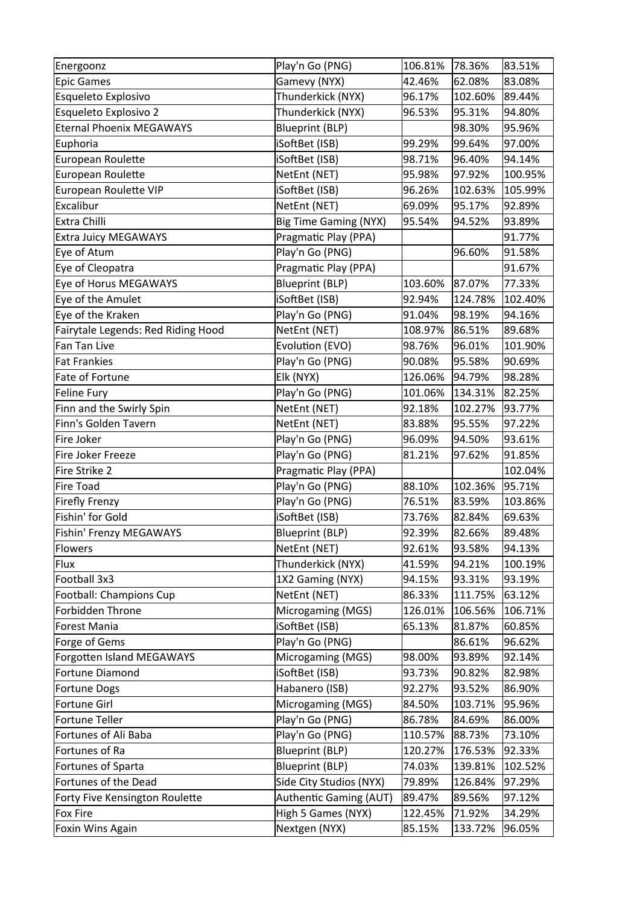| Energoonz                          | Play'n Go (PNG)                     | 106.81%           | 78.36%            | 83.51%           |
|------------------------------------|-------------------------------------|-------------------|-------------------|------------------|
| Epic Games                         | Gamevy (NYX)                        | 42.46%            | 62.08%            | 83.08%           |
| Esqueleto Explosivo                | Thunderkick (NYX)                   | 96.17%            | 102.60%           | 89.44%           |
| Esqueleto Explosivo 2              | Thunderkick (NYX)                   | 96.53%            | 95.31%            | 94.80%           |
| <b>Eternal Phoenix MEGAWAYS</b>    | <b>Blueprint (BLP)</b>              |                   | 98.30%            | 95.96%           |
| Euphoria                           | iSoftBet (ISB)                      | 99.29%            | 99.64%            | 97.00%           |
| European Roulette                  | iSoftBet (ISB)                      | 98.71%            | 96.40%            | 94.14%           |
| European Roulette                  | NetEnt (NET)                        | 95.98%            | 97.92%            | 100.95%          |
| European Roulette VIP              | iSoftBet (ISB)                      | 96.26%            | 102.63%           | 105.99%          |
| Excalibur                          | NetEnt (NET)                        | 69.09%            | 95.17%            | 92.89%           |
| Extra Chilli                       | <b>Big Time Gaming (NYX)</b>        | 95.54%            | 94.52%            | 93.89%           |
| <b>Extra Juicy MEGAWAYS</b>        | Pragmatic Play (PPA)                |                   |                   | 91.77%           |
| Eye of Atum                        | Play'n Go (PNG)                     |                   | 96.60%            | 91.58%           |
| Eye of Cleopatra                   | Pragmatic Play (PPA)                |                   |                   | 91.67%           |
| Eye of Horus MEGAWAYS              | <b>Blueprint (BLP)</b>              | 103.60%           | 87.07%            | 77.33%           |
| Eye of the Amulet                  | iSoftBet (ISB)                      | 92.94%            | 124.78%           | 102.40%          |
| Eye of the Kraken                  | Play'n Go (PNG)                     | 91.04%            | 98.19%            | 94.16%           |
| Fairytale Legends: Red Riding Hood | NetEnt (NET)                        | 108.97%           | 86.51%            | 89.68%           |
| Fan Tan Live                       | Evolution (EVO)                     | 98.76%            | 96.01%            | 101.90%          |
| <b>Fat Frankies</b>                | Play'n Go (PNG)                     | 90.08%            | 95.58%            | 90.69%           |
| Fate of Fortune                    | Elk (NYX)                           | 126.06%           | 94.79%            | 98.28%           |
| Feline Fury                        | Play'n Go (PNG)                     | 101.06%           | 134.31%           | 82.25%           |
| Finn and the Swirly Spin           | NetEnt (NET)                        | 92.18%            | 102.27%           | 93.77%           |
| Finn's Golden Tavern               | NetEnt (NET)                        | 83.88%            | 95.55%            | 97.22%           |
| Fire Joker                         | Play'n Go (PNG)                     | 96.09%            | 94.50%            | 93.61%           |
| Fire Joker Freeze                  | Play'n Go (PNG)                     | 81.21%            | 97.62%            | 91.85%           |
| Fire Strike 2                      | Pragmatic Play (PPA)                |                   |                   | 102.04%          |
| Fire Toad                          | Play'n Go (PNG)                     | 88.10%            | 102.36%           | 95.71%           |
| Firefly Frenzy                     | Play'n Go (PNG)                     | 76.51%            | 83.59%            | 103.86%          |
| Fishin' for Gold                   | iSoftBet (ISB)                      | 73.76%            | 82.84%            | 69.63%           |
| Fishin' Frenzy MEGAWAYS            | <b>Blueprint (BLP)</b>              | 92.39%            | 82.66%            | 89.48%           |
| Flowers                            | NetEnt (NET)                        | 92.61%            | 93.58%            | 94.13%           |
| Flux                               | Thunderkick (NYX)                   | 41.59%            | 94.21%            | 100.19%          |
| Football 3x3                       | 1X2 Gaming (NYX)                    | 94.15%            | 93.31%            | 93.19%           |
| Football: Champions Cup            | NetEnt (NET)                        | 86.33%            | 111.75%           | 63.12%           |
| Forbidden Throne                   | Microgaming (MGS)                   | 126.01%           | 106.56%           | 106.71%          |
| Forest Mania                       | iSoftBet (ISB)                      | 65.13%            | 81.87%            | 60.85%           |
| Forge of Gems                      | Play'n Go (PNG)                     |                   | 86.61%            | 96.62%           |
| Forgotten Island MEGAWAYS          | Microgaming (MGS)                   | 98.00%            | 93.89%            | 92.14%           |
| Fortune Diamond                    | iSoftBet (ISB)                      | 93.73%            | 90.82%            | 82.98%           |
| <b>Fortune Dogs</b>                | Habanero (ISB)                      | 92.27%            | 93.52%            | 86.90%           |
| Fortune Girl                       | Microgaming (MGS)                   | 84.50%            | 103.71%           | 95.96%           |
| Fortune Teller                     | Play'n Go (PNG)                     | 86.78%            | 84.69%            | 86.00%           |
| Fortunes of Ali Baba               | Play'n Go (PNG)                     | 110.57%           | 88.73%            | 73.10%           |
| Fortunes of Ra                     | <b>Blueprint (BLP)</b>              | 120.27%           | 176.53%           | 92.33%           |
| Fortunes of Sparta                 | <b>Blueprint (BLP)</b>              | 74.03%            | 139.81%           | 102.52%          |
| Fortunes of the Dead               | Side City Studios (NYX)             | 79.89%            | 126.84%           | 97.29%           |
| Forty Five Kensington Roulette     | Authentic Gaming (AUT)              | 89.47%            | 89.56%            | 97.12%           |
| Fox Fire                           |                                     |                   |                   |                  |
|                                    |                                     |                   |                   |                  |
| Foxin Wins Again                   | High 5 Games (NYX)<br>Nextgen (NYX) | 122.45%<br>85.15% | 71.92%<br>133.72% | 34.29%<br>96.05% |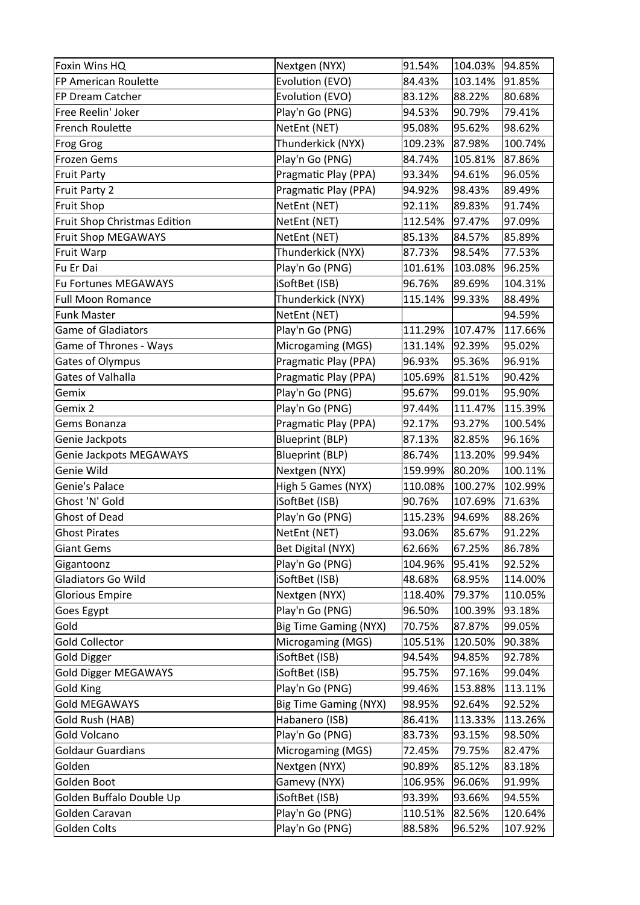| Foxin Wins HQ                | Nextgen (NYX)                | 91.54%  | 104.03% | 94.85%  |
|------------------------------|------------------------------|---------|---------|---------|
| FP American Roulette         | Evolution (EVO)              | 84.43%  | 103.14% | 91.85%  |
| FP Dream Catcher             | Evolution (EVO)              | 83.12%  | 88.22%  | 80.68%  |
| Free Reelin' Joker           | Play'n Go (PNG)              | 94.53%  | 90.79%  | 79.41%  |
| French Roulette              | NetEnt (NET)                 | 95.08%  | 95.62%  | 98.62%  |
| Frog Grog                    | Thunderkick (NYX)            | 109.23% | 87.98%  | 100.74% |
| Frozen Gems                  | Play'n Go (PNG)              | 84.74%  | 105.81% | 87.86%  |
| Fruit Party                  | Pragmatic Play (PPA)         | 93.34%  | 94.61%  | 96.05%  |
| Fruit Party 2                | Pragmatic Play (PPA)         | 94.92%  | 98.43%  | 89.49%  |
| Fruit Shop                   | NetEnt (NET)                 | 92.11%  | 89.83%  | 91.74%  |
| Fruit Shop Christmas Edition | NetEnt (NET)                 | 112.54% | 97.47%  | 97.09%  |
| Fruit Shop MEGAWAYS          | NetEnt (NET)                 | 85.13%  | 84.57%  | 85.89%  |
| Fruit Warp                   | Thunderkick (NYX)            | 87.73%  | 98.54%  | 77.53%  |
| Fu Er Dai                    | Play'n Go (PNG)              | 101.61% | 103.08% | 96.25%  |
| Fu Fortunes MEGAWAYS         | iSoftBet (ISB)               | 96.76%  | 89.69%  | 104.31% |
| <b>Full Moon Romance</b>     | Thunderkick (NYX)            | 115.14% | 99.33%  | 88.49%  |
| Funk Master                  | NetEnt (NET)                 |         |         | 94.59%  |
| <b>Game of Gladiators</b>    | Play'n Go (PNG)              | 111.29% | 107.47% | 117.66% |
| Game of Thrones - Ways       | Microgaming (MGS)            | 131.14% | 92.39%  | 95.02%  |
| <b>Gates of Olympus</b>      | Pragmatic Play (PPA)         | 96.93%  | 95.36%  | 96.91%  |
| Gates of Valhalla            | Pragmatic Play (PPA)         | 105.69% | 81.51%  | 90.42%  |
| Gemix                        | Play'n Go (PNG)              | 95.67%  | 99.01%  | 95.90%  |
| Gemix 2                      | Play'n Go (PNG)              | 97.44%  | 111.47% | 115.39% |
| Gems Bonanza                 | Pragmatic Play (PPA)         | 92.17%  | 93.27%  | 100.54% |
| Genie Jackpots               | <b>Blueprint (BLP)</b>       | 87.13%  | 82.85%  | 96.16%  |
| Genie Jackpots MEGAWAYS      | <b>Blueprint (BLP)</b>       | 86.74%  | 113.20% | 99.94%  |
| Genie Wild                   | Nextgen (NYX)                | 159.99% | 80.20%  | 100.11% |
| Genie's Palace               | High 5 Games (NYX)           | 110.08% | 100.27% | 102.99% |
| Ghost 'N' Gold               | iSoftBet (ISB)               | 90.76%  | 107.69% | 71.63%  |
| <b>Ghost of Dead</b>         | Play'n Go (PNG)              | 115.23% | 94.69%  | 88.26%  |
| <b>Ghost Pirates</b>         | NetEnt (NET)                 | 93.06%  | 85.67%  | 91.22%  |
| Giant Gems                   | Bet Digital (NYX)            | 62.66%  | 67.25%  | 86.78%  |
| Gigantoonz                   | Play'n Go (PNG)              | 104.96% | 95.41%  | 92.52%  |
| Gladiators Go Wild           | iSoftBet (ISB)               | 48.68%  | 68.95%  | 114.00% |
| <b>Glorious Empire</b>       | Nextgen (NYX)                | 118.40% | 79.37%  | 110.05% |
| Goes Egypt                   | Play'n Go (PNG)              | 96.50%  | 100.39% | 93.18%  |
| Gold                         | <b>Big Time Gaming (NYX)</b> | 70.75%  | 87.87%  | 99.05%  |
| <b>Gold Collector</b>        | Microgaming (MGS)            | 105.51% | 120.50% | 90.38%  |
| Gold Digger                  | iSoftBet (ISB)               | 94.54%  | 94.85%  | 92.78%  |
| <b>Gold Digger MEGAWAYS</b>  | iSoftBet (ISB)               | 95.75%  | 97.16%  | 99.04%  |
| <b>Gold King</b>             | Play'n Go (PNG)              | 99.46%  | 153.88% | 113.11% |
| <b>Gold MEGAWAYS</b>         | <b>Big Time Gaming (NYX)</b> | 98.95%  | 92.64%  | 92.52%  |
| Gold Rush (HAB)              | Habanero (ISB)               | 86.41%  | 113.33% | 113.26% |
| Gold Volcano                 | Play'n Go (PNG)              | 83.73%  | 93.15%  | 98.50%  |
| <b>Goldaur Guardians</b>     | Microgaming (MGS)            | 72.45%  | 79.75%  | 82.47%  |
| Golden                       | Nextgen (NYX)                | 90.89%  | 85.12%  | 83.18%  |
| Golden Boot                  | Gamevy (NYX)                 | 106.95% | 96.06%  | 91.99%  |
| Golden Buffalo Double Up     | iSoftBet (ISB)               | 93.39%  | 93.66%  | 94.55%  |
| Golden Caravan               | Play'n Go (PNG)              | 110.51% | 82.56%  | 120.64% |
| Golden Colts                 | Play'n Go (PNG)              | 88.58%  | 96.52%  | 107.92% |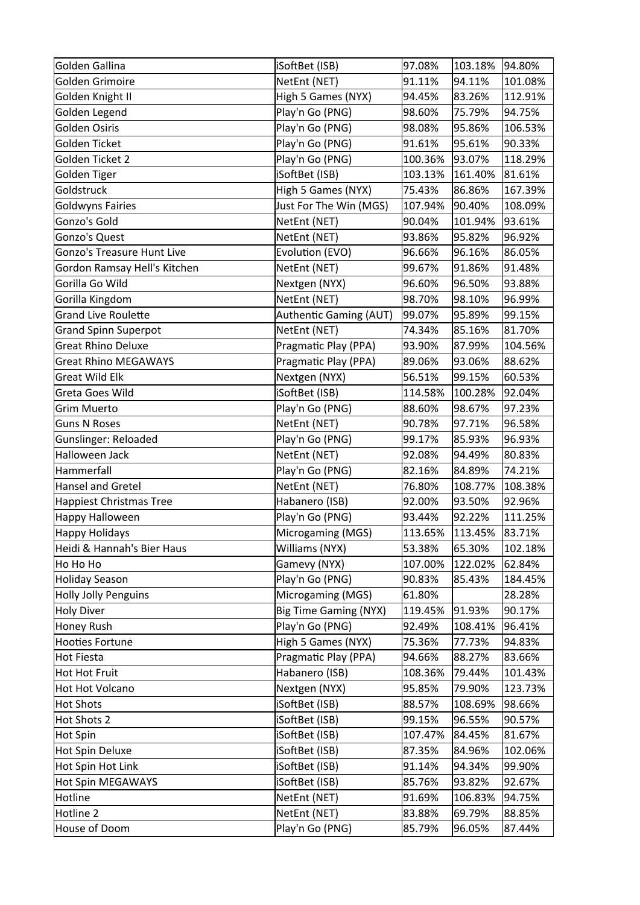| Golden Gallina                    | iSoftBet (ISB)               | 97.08%  | 103.18% | 94.80%  |
|-----------------------------------|------------------------------|---------|---------|---------|
| Golden Grimoire                   | NetEnt (NET)                 | 91.11%  | 94.11%  | 101.08% |
| Golden Knight II                  | High 5 Games (NYX)           | 94.45%  | 83.26%  | 112.91% |
| Golden Legend                     | Play'n Go (PNG)              | 98.60%  | 75.79%  | 94.75%  |
| Golden Osiris                     | Play'n Go (PNG)              | 98.08%  | 95.86%  | 106.53% |
| Golden Ticket                     | Play'n Go (PNG)              | 91.61%  | 95.61%  | 90.33%  |
| Golden Ticket 2                   | Play'n Go (PNG)              | 100.36% | 93.07%  | 118.29% |
| Golden Tiger                      | iSoftBet (ISB)               | 103.13% | 161.40% | 81.61%  |
| Goldstruck                        | High 5 Games (NYX)           | 75.43%  | 86.86%  | 167.39% |
| <b>Goldwyns Fairies</b>           | Just For The Win (MGS)       | 107.94% | 90.40%  | 108.09% |
| Gonzo's Gold                      | NetEnt (NET)                 | 90.04%  | 101.94% | 93.61%  |
| Gonzo's Quest                     | NetEnt (NET)                 | 93.86%  | 95.82%  | 96.92%  |
| <b>Gonzo's Treasure Hunt Live</b> | Evolution (EVO)              | 96.66%  | 96.16%  | 86.05%  |
| Gordon Ramsay Hell's Kitchen      | NetEnt (NET)                 | 99.67%  | 91.86%  | 91.48%  |
| Gorilla Go Wild                   | Nextgen (NYX)                | 96.60%  | 96.50%  | 93.88%  |
| Gorilla Kingdom                   | NetEnt (NET)                 | 98.70%  | 98.10%  | 96.99%  |
| <b>Grand Live Roulette</b>        | Authentic Gaming (AUT)       | 99.07%  | 95.89%  | 99.15%  |
| <b>Grand Spinn Superpot</b>       | NetEnt (NET)                 | 74.34%  | 85.16%  | 81.70%  |
| <b>Great Rhino Deluxe</b>         | Pragmatic Play (PPA)         | 93.90%  | 87.99%  | 104.56% |
| <b>Great Rhino MEGAWAYS</b>       | Pragmatic Play (PPA)         | 89.06%  | 93.06%  | 88.62%  |
| <b>Great Wild Elk</b>             | Nextgen (NYX)                | 56.51%  | 99.15%  | 60.53%  |
| Greta Goes Wild                   | iSoftBet (ISB)               | 114.58% | 100.28% | 92.04%  |
| <b>Grim Muerto</b>                | Play'n Go (PNG)              | 88.60%  | 98.67%  | 97.23%  |
| <b>Guns N Roses</b>               | NetEnt (NET)                 | 90.78%  | 97.71%  | 96.58%  |
| <b>Gunslinger: Reloaded</b>       | Play'n Go (PNG)              | 99.17%  | 85.93%  | 96.93%  |
| Halloween Jack                    | NetEnt (NET)                 | 92.08%  | 94.49%  | 80.83%  |
| Hammerfall                        | Play'n Go (PNG)              | 82.16%  | 84.89%  | 74.21%  |
| Hansel and Gretel                 | NetEnt (NET)                 | 76.80%  | 108.77% | 108.38% |
| Happiest Christmas Tree           | Habanero (ISB)               | 92.00%  | 93.50%  | 92.96%  |
| Happy Halloween                   | Play'n Go (PNG)              | 93.44%  | 92.22%  | 111.25% |
| Happy Holidays                    | Microgaming (MGS)            | 113.65% | 113.45% | 83.71%  |
| Heidi & Hannah's Bier Haus        | Williams (NYX)               | 53.38%  | 65.30%  | 102.18% |
| Ho Ho Ho                          | Gamevy (NYX)                 | 107.00% | 122.02% | 62.84%  |
| Holiday Season                    | Play'n Go (PNG)              | 90.83%  | 85.43%  | 184.45% |
| Holly Jolly Penguins              | Microgaming (MGS)            | 61.80%  |         | 28.28%  |
| Holy Diver                        | <b>Big Time Gaming (NYX)</b> | 119.45% | 91.93%  | 90.17%  |
| Honey Rush                        | Play'n Go (PNG)              | 92.49%  | 108.41% | 96.41%  |
| Hooties Fortune                   | High 5 Games (NYX)           | 75.36%  | 77.73%  | 94.83%  |
| Hot Fiesta                        | Pragmatic Play (PPA)         | 94.66%  | 88.27%  | 83.66%  |
| Hot Hot Fruit                     | Habanero (ISB)               | 108.36% | 79.44%  | 101.43% |
| Hot Hot Volcano                   | Nextgen (NYX)                | 95.85%  | 79.90%  | 123.73% |
| Hot Shots                         | iSoftBet (ISB)               | 88.57%  | 108.69% | 98.66%  |
| Hot Shots 2                       | iSoftBet (ISB)               | 99.15%  | 96.55%  | 90.57%  |
| Hot Spin                          | iSoftBet (ISB)               | 107.47% | 84.45%  | 81.67%  |
| Hot Spin Deluxe                   | iSoftBet (ISB)               | 87.35%  | 84.96%  | 102.06% |
| Hot Spin Hot Link                 | iSoftBet (ISB)               | 91.14%  | 94.34%  | 99.90%  |
| Hot Spin MEGAWAYS                 | iSoftBet (ISB)               | 85.76%  | 93.82%  | 92.67%  |
| Hotline                           | NetEnt (NET)                 | 91.69%  | 106.83% | 94.75%  |
| Hotline 2                         | NetEnt (NET)                 | 83.88%  | 69.79%  | 88.85%  |
| House of Doom                     | Play'n Go (PNG)              | 85.79%  | 96.05%  | 87.44%  |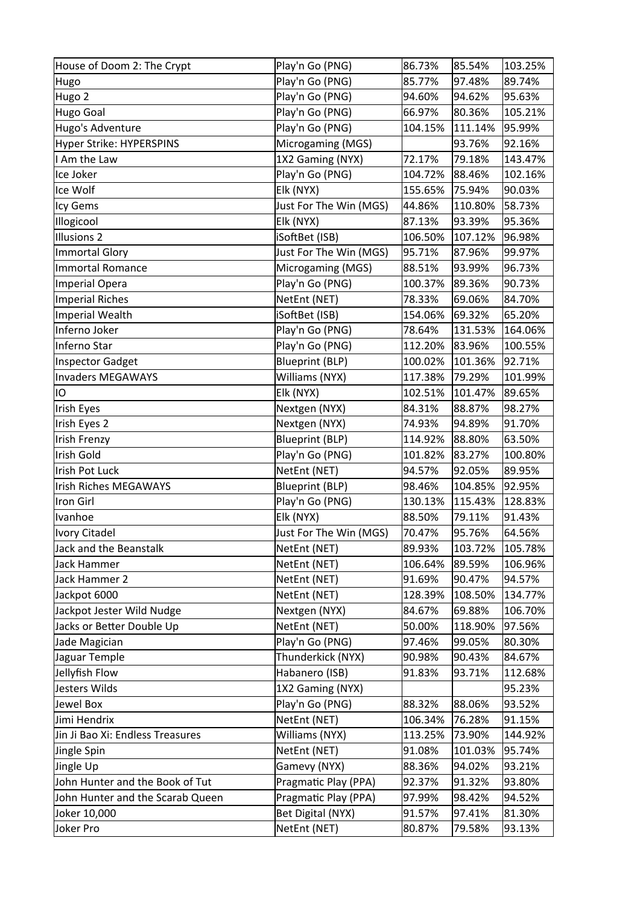| House of Doom 2: The Crypt       | Play'n Go (PNG)          | 86.73%  | 85.54%  | 103.25% |
|----------------------------------|--------------------------|---------|---------|---------|
| Hugo                             | Play'n Go (PNG)          | 85.77%  | 97.48%  | 89.74%  |
| Hugo 2                           | Play'n Go (PNG)          | 94.60%  | 94.62%  | 95.63%  |
| Hugo Goal                        | Play'n Go (PNG)          | 66.97%  | 80.36%  | 105.21% |
| Hugo's Adventure                 | Play'n Go (PNG)          | 104.15% | 111.14% | 95.99%  |
| Hyper Strike: HYPERSPINS         | Microgaming (MGS)        |         | 93.76%  | 92.16%  |
| I Am the Law                     | 1X2 Gaming (NYX)         | 72.17%  | 79.18%  | 143.47% |
| Ice Joker                        | Play'n Go (PNG)          | 104.72% | 88.46%  | 102.16% |
| Ice Wolf                         | Elk (NYX)                | 155.65% | 75.94%  | 90.03%  |
| Icy Gems                         | Just For The Win (MGS)   | 44.86%  | 110.80% | 58.73%  |
| Illogicool                       | Elk (NYX)                | 87.13%  | 93.39%  | 95.36%  |
| Illusions 2                      | iSoftBet (ISB)           | 106.50% | 107.12% | 96.98%  |
| Immortal Glory                   | Just For The Win (MGS)   | 95.71%  | 87.96%  | 99.97%  |
| Immortal Romance                 | Microgaming (MGS)        | 88.51%  | 93.99%  | 96.73%  |
| Imperial Opera                   | Play'n Go (PNG)          | 100.37% | 89.36%  | 90.73%  |
| Imperial Riches                  | NetEnt (NET)             | 78.33%  | 69.06%  | 84.70%  |
| Imperial Wealth                  | iSoftBet (ISB)           | 154.06% | 69.32%  | 65.20%  |
| Inferno Joker                    | Play'n Go (PNG)          | 78.64%  | 131.53% | 164.06% |
| Inferno Star                     | Play'n Go (PNG)          | 112.20% | 83.96%  | 100.55% |
| Inspector Gadget                 | <b>Blueprint (BLP)</b>   | 100.02% | 101.36% | 92.71%  |
| Invaders MEGAWAYS                | Williams (NYX)           | 117.38% | 79.29%  | 101.99% |
| IO                               | Elk (NYX)                | 102.51% | 101.47% | 89.65%  |
| Irish Eyes                       | Nextgen (NYX)            | 84.31%  | 88.87%  | 98.27%  |
| Irish Eyes 2                     | Nextgen (NYX)            | 74.93%  | 94.89%  | 91.70%  |
| Irish Frenzy                     | <b>Blueprint (BLP)</b>   | 114.92% | 88.80%  | 63.50%  |
| Irish Gold                       | Play'n Go (PNG)          | 101.82% | 83.27%  | 100.80% |
| Irish Pot Luck                   | NetEnt (NET)             | 94.57%  | 92.05%  | 89.95%  |
| Irish Riches MEGAWAYS            | <b>Blueprint (BLP)</b>   | 98.46%  | 104.85% | 92.95%  |
| Iron Girl                        | Play'n Go (PNG)          | 130.13% | 115.43% | 128.83% |
| Ivanhoe                          | Elk (NYX)                | 88.50%  | 79.11%  | 91.43%  |
| Ivory Citadel                    | Just For The Win (MGS)   | 70.47%  | 95.76%  | 64.56%  |
| Jack and the Beanstalk           | NetEnt (NET)             | 89.93%  | 103.72% | 105.78% |
| Jack Hammer                      | NetEnt (NET)             | 106.64% | 89.59%  | 106.96% |
| Jack Hammer 2                    | NetEnt (NET)             | 91.69%  | 90.47%  | 94.57%  |
| Jackpot 6000                     | NetEnt (NET)             | 128.39% | 108.50% | 134.77% |
| Jackpot Jester Wild Nudge        | Nextgen (NYX)            | 84.67%  | 69.88%  | 106.70% |
| Jacks or Better Double Up        | NetEnt (NET)             | 50.00%  | 118.90% | 97.56%  |
| Jade Magician                    | Play'n Go (PNG)          | 97.46%  | 99.05%  | 80.30%  |
| Jaguar Temple                    | Thunderkick (NYX)        | 90.98%  | 90.43%  | 84.67%  |
| Jellyfish Flow                   | Habanero (ISB)           | 91.83%  | 93.71%  | 112.68% |
| Jesters Wilds                    | 1X2 Gaming (NYX)         |         |         | 95.23%  |
| Jewel Box                        | Play'n Go (PNG)          | 88.32%  | 88.06%  | 93.52%  |
| Jimi Hendrix                     | NetEnt (NET)             | 106.34% | 76.28%  | 91.15%  |
| Jin Ji Bao Xi: Endless Treasures | Williams (NYX)           | 113.25% | 73.90%  | 144.92% |
| Jingle Spin                      | NetEnt (NET)             | 91.08%  | 101.03% | 95.74%  |
| Jingle Up                        | Gamevy (NYX)             | 88.36%  | 94.02%  | 93.21%  |
| John Hunter and the Book of Tut  | Pragmatic Play (PPA)     | 92.37%  | 91.32%  | 93.80%  |
| John Hunter and the Scarab Queen | Pragmatic Play (PPA)     | 97.99%  | 98.42%  | 94.52%  |
| Joker 10,000                     | <b>Bet Digital (NYX)</b> | 91.57%  | 97.41%  | 81.30%  |
| Joker Pro                        | NetEnt (NET)             | 80.87%  | 79.58%  | 93.13%  |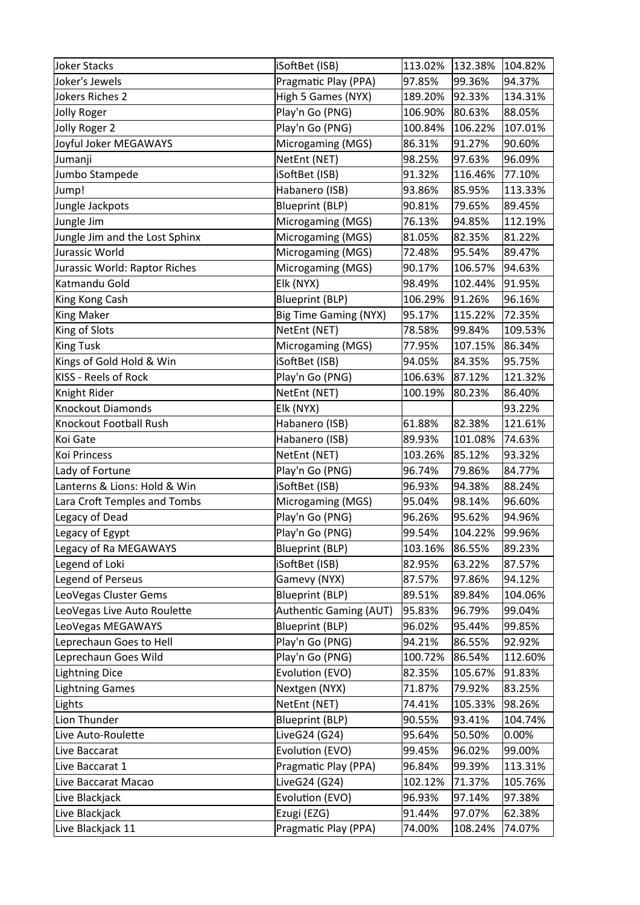| Joker Stacks                   | iSoftBet (ISB)               | 113.02% | 132.38% | 104.82%   |
|--------------------------------|------------------------------|---------|---------|-----------|
| Joker's Jewels                 | Pragmatic Play (PPA)         | 97.85%  | 99.36%  | 94.37%    |
| Jokers Riches 2                | High 5 Games (NYX)           | 189.20% | 92.33%  | 134.31%   |
| Jolly Roger                    | Play'n Go (PNG)              | 106.90% | 80.63%  | 88.05%    |
| Jolly Roger 2                  | Play'n Go (PNG)              | 100.84% | 106.22% | 107.01%   |
| Joyful Joker MEGAWAYS          | Microgaming (MGS)            | 86.31%  | 91.27%  | 90.60%    |
| Jumanji                        | NetEnt (NET)                 | 98.25%  | 97.63%  | 96.09%    |
| Jumbo Stampede                 | iSoftBet (ISB)               | 91.32%  | 116.46% | 77.10%    |
| Jump!                          | Habanero (ISB)               | 93.86%  | 85.95%  | 113.33%   |
| Jungle Jackpots                | <b>Blueprint (BLP)</b>       | 90.81%  | 79.65%  | 89.45%    |
| Jungle Jim                     | Microgaming (MGS)            | 76.13%  | 94.85%  | 112.19%   |
| Jungle Jim and the Lost Sphinx | Microgaming (MGS)            | 81.05%  | 82.35%  | 81.22%    |
| Jurassic World                 | Microgaming (MGS)            | 72.48%  | 95.54%  | 89.47%    |
| Jurassic World: Raptor Riches  | Microgaming (MGS)            | 90.17%  | 106.57% | 94.63%    |
| Katmandu Gold                  | Elk (NYX)                    | 98.49%  | 102.44% | 91.95%    |
| King Kong Cash                 | <b>Blueprint (BLP)</b>       | 106.29% | 91.26%  | 96.16%    |
| King Maker                     | <b>Big Time Gaming (NYX)</b> | 95.17%  | 115.22% | 72.35%    |
| King of Slots                  | NetEnt (NET)                 | 78.58%  | 99.84%  | 109.53%   |
| King Tusk                      | Microgaming (MGS)            | 77.95%  | 107.15% | 86.34%    |
| Kings of Gold Hold & Win       | iSoftBet (ISB)               | 94.05%  | 84.35%  | 95.75%    |
| KISS - Reels of Rock           | Play'n Go (PNG)              | 106.63% | 87.12%  | 121.32%   |
| Knight Rider                   | NetEnt (NET)                 | 100.19% | 80.23%  | 86.40%    |
| Knockout Diamonds              | Elk (NYX)                    |         |         | 93.22%    |
| Knockout Football Rush         | Habanero (ISB)               | 61.88%  | 82.38%  | 121.61%   |
| Koi Gate                       | Habanero (ISB)               | 89.93%  | 101.08% | 74.63%    |
| Koi Princess                   | NetEnt (NET)                 | 103.26% | 85.12%  | 93.32%    |
| Lady of Fortune                | Play'n Go (PNG)              | 96.74%  | 79.86%  | 84.77%    |
| Lanterns & Lions: Hold & Win   | iSoftBet (ISB)               | 96.93%  | 94.38%  | 88.24%    |
| Lara Croft Temples and Tombs   | Microgaming (MGS)            | 95.04%  | 98.14%  | 96.60%    |
| Legacy of Dead                 | Play'n Go (PNG)              | 96.26%  | 95.62%  | 94.96%    |
| Legacy of Egypt                | Play'n Go (PNG)              | 99.54%  | 104.22% | 99.96%    |
| Legacy of Ra MEGAWAYS          | <b>Blueprint (BLP)</b>       | 103.16% | 86.55%  | 89.23%    |
| Legend of Loki                 | iSoftBet (ISB)               | 82.95%  | 63.22%  | 87.57%    |
| Legend of Perseus              | Gamevy (NYX)                 | 87.57%  | 97.86%  | 94.12%    |
| LeoVegas Cluster Gems          | <b>Blueprint (BLP)</b>       | 89.51%  | 89.84%  | 104.06%   |
| LeoVegas Live Auto Roulette    | Authentic Gaming (AUT)       | 95.83%  | 96.79%  | 99.04%    |
| LeoVegas MEGAWAYS              | <b>Blueprint (BLP)</b>       | 96.02%  | 95.44%  | 99.85%    |
| Leprechaun Goes to Hell        | Play'n Go (PNG)              | 94.21%  | 86.55%  | 92.92%    |
| Leprechaun Goes Wild           | Play'n Go (PNG)              | 100.72% | 86.54%  | 112.60%   |
| Lightning Dice                 | Evolution (EVO)              | 82.35%  | 105.67% | 91.83%    |
| Lightning Games                | Nextgen (NYX)                | 71.87%  | 79.92%  | 83.25%    |
| Lights                         | NetEnt (NET)                 | 74.41%  | 105.33% | 98.26%    |
| Lion Thunder                   | <b>Blueprint (BLP)</b>       | 90.55%  | 93.41%  | 104.74%   |
| Live Auto-Roulette             | LiveG24 (G24)                | 95.64%  | 50.50%  | $ 0.00\%$ |
| Live Baccarat                  | Evolution (EVO)              | 99.45%  | 96.02%  | 99.00%    |
| Live Baccarat 1                | Pragmatic Play (PPA)         | 96.84%  | 99.39%  | 113.31%   |
| Live Baccarat Macao            | LiveG24 (G24)                | 102.12% | 71.37%  | 105.76%   |
| Live Blackjack                 | Evolution (EVO)              | 96.93%  | 97.14%  | 97.38%    |
| Live Blackjack                 | Ezugi (EZG)                  | 91.44%  | 97.07%  | 62.38%    |
| Live Blackjack 11              | Pragmatic Play (PPA)         | 74.00%  | 108.24% | 74.07%    |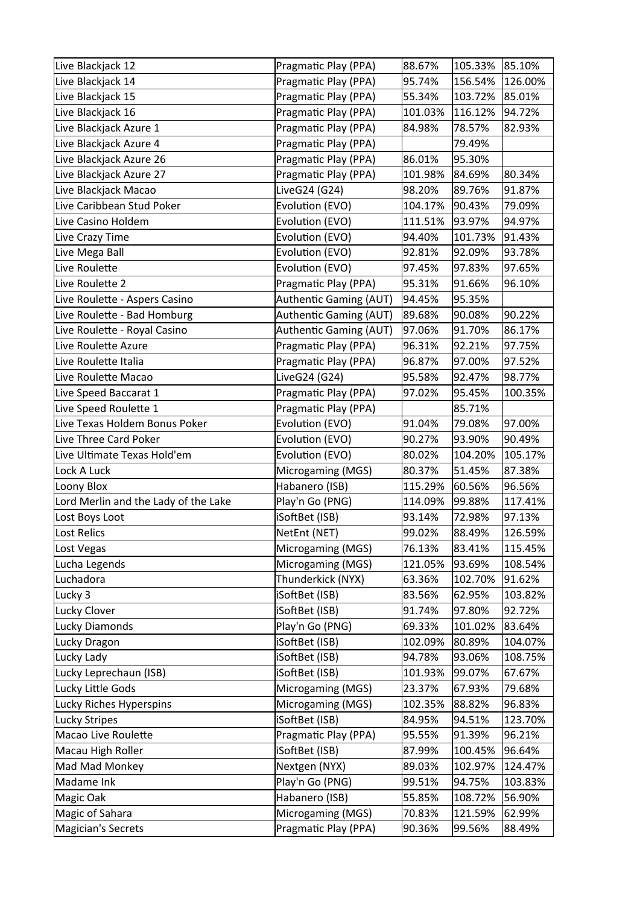| Live Blackjack 12                     | Pragmatic Play (PPA)   | 88.67%  | 105.33% | 85.10%  |
|---------------------------------------|------------------------|---------|---------|---------|
| Live Blackjack 14                     | Pragmatic Play (PPA)   | 95.74%  | 156.54% | 126.00% |
| Live Blackjack 15                     | Pragmatic Play (PPA)   | 55.34%  | 103.72% | 85.01%  |
| Live Blackjack 16                     | Pragmatic Play (PPA)   | 101.03% | 116.12% | 94.72%  |
| Live Blackjack Azure 1                | Pragmatic Play (PPA)   | 84.98%  | 78.57%  | 82.93%  |
| Live Blackjack Azure 4                | Pragmatic Play (PPA)   |         | 79.49%  |         |
| Live Blackjack Azure 26               | Pragmatic Play (PPA)   | 86.01%  | 95.30%  |         |
| Live Blackjack Azure 27               | Pragmatic Play (PPA)   | 101.98% | 84.69%  | 80.34%  |
| Live Blackjack Macao                  | LiveG24 (G24)          | 98.20%  | 89.76%  | 91.87%  |
| Live Caribbean Stud Poker             | Evolution (EVO)        | 104.17% | 90.43%  | 79.09%  |
| Live Casino Holdem                    | Evolution (EVO)        | 111.51% | 93.97%  | 94.97%  |
| Live Crazy Time                       | Evolution (EVO)        | 94.40%  | 101.73% | 91.43%  |
| Live Mega Ball                        | Evolution (EVO)        | 92.81%  | 92.09%  | 93.78%  |
| Live Roulette                         | Evolution (EVO)        | 97.45%  | 97.83%  | 97.65%  |
| Live Roulette 2                       | Pragmatic Play (PPA)   | 95.31%  | 91.66%  | 96.10%  |
| Live Roulette - Aspers Casino         | Authentic Gaming (AUT) | 94.45%  | 95.35%  |         |
| Live Roulette - Bad Homburg           | Authentic Gaming (AUT) | 89.68%  | 90.08%  | 90.22%  |
| Live Roulette - Royal Casino          | Authentic Gaming (AUT) | 97.06%  | 91.70%  | 86.17%  |
| Live Roulette Azure                   | Pragmatic Play (PPA)   | 96.31%  | 92.21%  | 97.75%  |
| Live Roulette Italia                  | Pragmatic Play (PPA)   | 96.87%  | 97.00%  | 97.52%  |
| Live Roulette Macao                   | LiveG24 (G24)          | 95.58%  | 92.47%  | 98.77%  |
| Live Speed Baccarat 1                 | Pragmatic Play (PPA)   | 97.02%  | 95.45%  | 100.35% |
| Live Speed Roulette 1                 | Pragmatic Play (PPA)   |         | 85.71%  |         |
| Live Texas Holdem Bonus Poker         | Evolution (EVO)        | 91.04%  | 79.08%  | 97.00%  |
| Live Three Card Poker                 | Evolution (EVO)        | 90.27%  | 93.90%  | 90.49%  |
|                                       |                        |         |         |         |
| Live Ultimate Texas Hold'em           | Evolution (EVO)        | 80.02%  | 104.20% | 105.17% |
| Lock A Luck                           | Microgaming (MGS)      | 80.37%  | 51.45%  | 87.38%  |
| Loony Blox                            | Habanero (ISB)         | 115.29% | 60.56%  | 96.56%  |
| Lord Merlin and the Lady of the Lake  | Play'n Go (PNG)        | 114.09% | 99.88%  | 117.41% |
| Lost Boys Loot                        | iSoftBet (ISB)         | 93.14%  | 72.98%  | 97.13%  |
| Lost Relics                           | NetEnt (NET)           | 99.02%  | 88.49%  | 126.59% |
| Lost Vegas                            | Microgaming (MGS)      | 76.13%  | 83.41%  | 115.45% |
| Lucha Legends                         | Microgaming (MGS)      | 121.05% | 93.69%  | 108.54% |
| Luchadora                             | Thunderkick (NYX)      | 63.36%  | 102.70% | 91.62%  |
| Lucky 3                               | iSoftBet (ISB)         | 83.56%  | 62.95%  | 103.82% |
| Lucky Clover                          | iSoftBet (ISB)         | 91.74%  | 97.80%  | 92.72%  |
| Lucky Diamonds                        | Play'n Go (PNG)        | 69.33%  | 101.02% | 83.64%  |
| Lucky Dragon                          | iSoftBet (ISB)         | 102.09% | 80.89%  | 104.07% |
| Lucky Lady                            | iSoftBet (ISB)         | 94.78%  | 93.06%  | 108.75% |
| Lucky Leprechaun (ISB)                | iSoftBet (ISB)         | 101.93% | 99.07%  | 67.67%  |
| Lucky Little Gods                     | Microgaming (MGS)      | 23.37%  | 67.93%  | 79.68%  |
| Lucky Riches Hyperspins               | Microgaming (MGS)      | 102.35% | 88.82%  | 96.83%  |
| Lucky Stripes                         | iSoftBet (ISB)         | 84.95%  | 94.51%  | 123.70% |
| Macao Live Roulette                   | Pragmatic Play (PPA)   | 95.55%  | 91.39%  | 96.21%  |
| Macau High Roller                     | iSoftBet (ISB)         | 87.99%  | 100.45% | 96.64%  |
| Mad Mad Monkey                        | Nextgen (NYX)          | 89.03%  | 102.97% | 124.47% |
| Madame Ink                            | Play'n Go (PNG)        | 99.51%  | 94.75%  | 103.83% |
| Magic Oak                             | Habanero (ISB)         | 55.85%  | 108.72% | 56.90%  |
| Magic of Sahara<br>Magician's Secrets | Microgaming (MGS)      | 70.83%  | 121.59% | 62.99%  |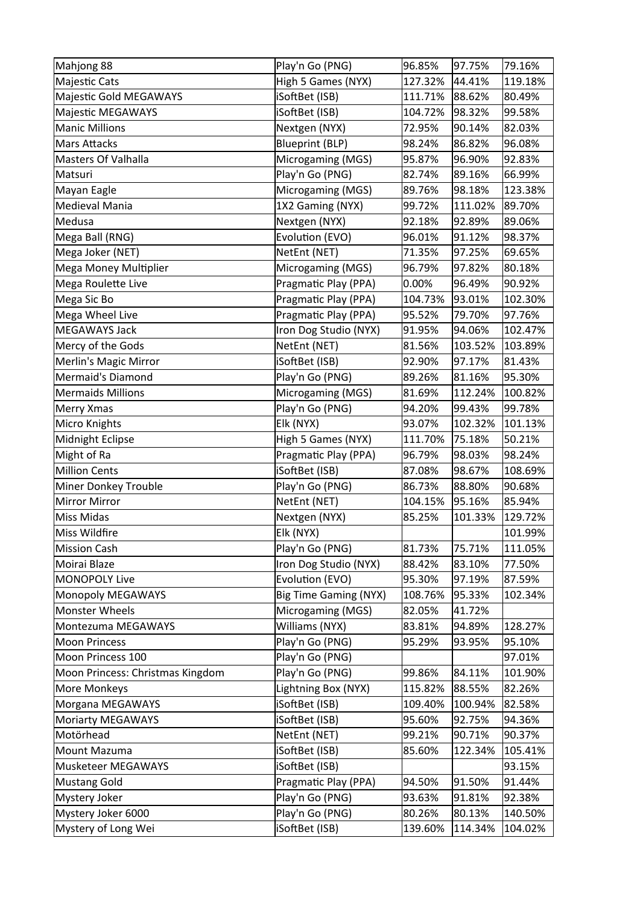| Mahjong 88                       | Play'n Go (PNG)              | 96.85%  | 97.75%  | 79.16%  |
|----------------------------------|------------------------------|---------|---------|---------|
| Majestic Cats                    | High 5 Games (NYX)           | 127.32% | 44.41%  | 119.18% |
| Majestic Gold MEGAWAYS           | iSoftBet (ISB)               | 111.71% | 88.62%  | 80.49%  |
| Majestic MEGAWAYS                | iSoftBet (ISB)               | 104.72% | 98.32%  | 99.58%  |
| Manic Millions                   | Nextgen (NYX)                | 72.95%  | 90.14%  | 82.03%  |
| Mars Attacks                     | <b>Blueprint (BLP)</b>       | 98.24%  | 86.82%  | 96.08%  |
| Masters Of Valhalla              | Microgaming (MGS)            | 95.87%  | 96.90%  | 92.83%  |
| Matsuri                          | Play'n Go (PNG)              | 82.74%  | 89.16%  | 66.99%  |
| Mayan Eagle                      | Microgaming (MGS)            | 89.76%  | 98.18%  | 123.38% |
| Medieval Mania                   | 1X2 Gaming (NYX)             | 99.72%  | 111.02% | 89.70%  |
| Medusa                           | Nextgen (NYX)                | 92.18%  | 92.89%  | 89.06%  |
| Mega Ball (RNG)                  | Evolution (EVO)              | 96.01%  | 91.12%  | 98.37%  |
| Mega Joker (NET)                 | NetEnt (NET)                 | 71.35%  | 97.25%  | 69.65%  |
| Mega Money Multiplier            | Microgaming (MGS)            | 96.79%  | 97.82%  | 80.18%  |
| Mega Roulette Live               | Pragmatic Play (PPA)         | 0.00%   | 96.49%  | 90.92%  |
| Mega Sic Bo                      | Pragmatic Play (PPA)         | 104.73% | 93.01%  | 102.30% |
| Mega Wheel Live                  | Pragmatic Play (PPA)         | 95.52%  | 79.70%  | 97.76%  |
| <b>MEGAWAYS Jack</b>             | Iron Dog Studio (NYX)        | 91.95%  | 94.06%  | 102.47% |
| Mercy of the Gods                | NetEnt (NET)                 | 81.56%  | 103.52% | 103.89% |
| Merlin's Magic Mirror            | iSoftBet (ISB)               | 92.90%  | 97.17%  | 81.43%  |
| Mermaid's Diamond                | Play'n Go (PNG)              | 89.26%  | 81.16%  | 95.30%  |
| Mermaids Millions                | Microgaming (MGS)            | 81.69%  | 112.24% | 100.82% |
| Merry Xmas                       | Play'n Go (PNG)              | 94.20%  | 99.43%  | 99.78%  |
| Micro Knights                    | Elk (NYX)                    | 93.07%  | 102.32% | 101.13% |
| Midnight Eclipse                 | High 5 Games (NYX)           | 111.70% | 75.18%  | 50.21%  |
| Might of Ra                      | Pragmatic Play (PPA)         | 96.79%  | 98.03%  | 98.24%  |
| <b>Million Cents</b>             | iSoftBet (ISB)               | 87.08%  | 98.67%  | 108.69% |
| Miner Donkey Trouble             | Play'n Go (PNG)              | 86.73%  | 88.80%  | 90.68%  |
| Mirror Mirror                    | NetEnt (NET)                 | 104.15% | 95.16%  | 85.94%  |
| Miss Midas                       | Nextgen (NYX)                | 85.25%  | 101.33% | 129.72% |
| Miss Wildfire                    | Elk (NYX)                    |         |         | 101.99% |
| Mission Cash                     | Play'n Go (PNG)              | 81.73%  | 75.71%  | 111.05% |
| Moirai Blaze                     | Iron Dog Studio (NYX)        | 88.42%  | 83.10%  | 77.50%  |
| MONOPOLY Live                    | Evolution (EVO)              | 95.30%  | 97.19%  | 87.59%  |
| Monopoly MEGAWAYS                | <b>Big Time Gaming (NYX)</b> | 108.76% | 95.33%  | 102.34% |
| Monster Wheels                   | Microgaming (MGS)            | 82.05%  | 41.72%  |         |
| Montezuma MEGAWAYS               | Williams (NYX)               | 83.81%  | 94.89%  | 128.27% |
| Moon Princess                    | Play'n Go (PNG)              | 95.29%  | 93.95%  | 95.10%  |
| Moon Princess 100                | Play'n Go (PNG)              |         |         | 97.01%  |
| Moon Princess: Christmas Kingdom | Play'n Go (PNG)              | 99.86%  | 84.11%  | 101.90% |
| More Monkeys                     | Lightning Box (NYX)          | 115.82% | 88.55%  | 82.26%  |
| Morgana MEGAWAYS                 | iSoftBet (ISB)               | 109.40% | 100.94% | 82.58%  |
| Moriarty MEGAWAYS                | iSoftBet (ISB)               | 95.60%  | 92.75%  | 94.36%  |
| Motörhead                        | NetEnt (NET)                 | 99.21%  | 90.71%  | 90.37%  |
| Mount Mazuma                     | iSoftBet (ISB)               | 85.60%  | 122.34% | 105.41% |
| Musketeer MEGAWAYS               | iSoftBet (ISB)               |         |         | 93.15%  |
| Mustang Gold                     | Pragmatic Play (PPA)         | 94.50%  | 91.50%  | 91.44%  |
| Mystery Joker                    | Play'n Go (PNG)              | 93.63%  | 91.81%  | 92.38%  |
| Mystery Joker 6000               | Play'n Go (PNG)              | 80.26%  | 80.13%  | 140.50% |
| Mystery of Long Wei              | iSoftBet (ISB)               | 139.60% | 114.34% | 104.02% |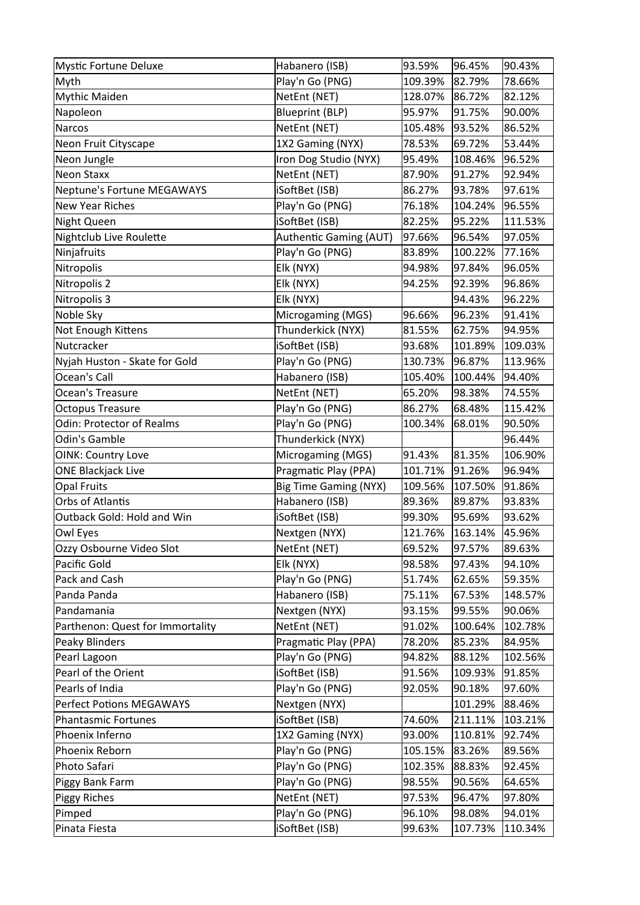| Mystic Fortune Deluxe            | Habanero (ISB)               | 93.59%  | 96.45%  | 90.43%  |
|----------------------------------|------------------------------|---------|---------|---------|
| Myth                             | Play'n Go (PNG)              | 109.39% | 82.79%  | 78.66%  |
| Mythic Maiden                    | NetEnt (NET)                 | 128.07% | 86.72%  | 82.12%  |
| Napoleon                         | <b>Blueprint (BLP)</b>       | 95.97%  | 91.75%  | 90.00%  |
| Narcos                           | NetEnt (NET)                 | 105.48% | 93.52%  | 86.52%  |
| Neon Fruit Cityscape             | 1X2 Gaming (NYX)             | 78.53%  | 69.72%  | 53.44%  |
| Neon Jungle                      | Iron Dog Studio (NYX)        | 95.49%  | 108.46% | 96.52%  |
| Neon Staxx                       | NetEnt (NET)                 | 87.90%  | 91.27%  | 92.94%  |
| Neptune's Fortune MEGAWAYS       | iSoftBet (ISB)               | 86.27%  | 93.78%  | 97.61%  |
| <b>New Year Riches</b>           | Play'n Go (PNG)              | 76.18%  | 104.24% | 96.55%  |
| Night Queen                      | iSoftBet (ISB)               | 82.25%  | 95.22%  | 111.53% |
| Nightclub Live Roulette          | Authentic Gaming (AUT)       | 97.66%  | 96.54%  | 97.05%  |
| Ninjafruits                      | Play'n Go (PNG)              | 83.89%  | 100.22% | 77.16%  |
| Nitropolis                       | Elk (NYX)                    | 94.98%  | 97.84%  | 96.05%  |
| Nitropolis 2                     | Elk (NYX)                    | 94.25%  | 92.39%  | 96.86%  |
| Nitropolis 3                     | Elk (NYX)                    |         | 94.43%  | 96.22%  |
| Noble Sky                        | Microgaming (MGS)            | 96.66%  | 96.23%  | 91.41%  |
| Not Enough Kittens               | Thunderkick (NYX)            | 81.55%  | 62.75%  | 94.95%  |
| Nutcracker                       | iSoftBet (ISB)               | 93.68%  | 101.89% | 109.03% |
| Nyjah Huston - Skate for Gold    | Play'n Go (PNG)              | 130.73% | 96.87%  | 113.96% |
| Ocean's Call                     | Habanero (ISB)               | 105.40% | 100.44% | 94.40%  |
| Ocean's Treasure                 | NetEnt (NET)                 | 65.20%  | 98.38%  | 74.55%  |
| <b>Octopus Treasure</b>          | Play'n Go (PNG)              | 86.27%  | 68.48%  | 115.42% |
| Odin: Protector of Realms        | Play'n Go (PNG)              | 100.34% | 68.01%  | 90.50%  |
| Odin's Gamble                    | Thunderkick (NYX)            |         |         | 96.44%  |
| OINK: Country Love               | Microgaming (MGS)            | 91.43%  | 81.35%  | 106.90% |
| <b>ONE Blackjack Live</b>        | Pragmatic Play (PPA)         | 101.71% | 91.26%  | 96.94%  |
| <b>Opal Fruits</b>               | <b>Big Time Gaming (NYX)</b> | 109.56% | 107.50% | 91.86%  |
| Orbs of Atlantis                 | Habanero (ISB)               | 89.36%  | 89.87%  | 93.83%  |
| Outback Gold: Hold and Win       | iSoftBet (ISB)               | 99.30%  | 95.69%  | 93.62%  |
| Owl Eyes                         | Nextgen (NYX)                | 121.76% | 163.14% | 45.96%  |
| Ozzy Osbourne Video Slot         | NetEnt (NET)                 | 69.52%  | 97.57%  | 89.63%  |
| Pacific Gold                     | Elk (NYX)                    | 98.58%  | 97.43%  | 94.10%  |
| Pack and Cash                    | Play'n Go (PNG)              | 51.74%  | 62.65%  | 59.35%  |
| Panda Panda                      | Habanero (ISB)               | 75.11%  | 67.53%  | 148.57% |
| Pandamania                       | Nextgen (NYX)                | 93.15%  | 99.55%  | 90.06%  |
| Parthenon: Quest for Immortality | NetEnt (NET)                 | 91.02%  | 100.64% | 102.78% |
| Peaky Blinders                   | Pragmatic Play (PPA)         | 78.20%  | 85.23%  | 84.95%  |
| Pearl Lagoon                     | Play'n Go (PNG)              | 94.82%  | 88.12%  | 102.56% |
| Pearl of the Orient              | iSoftBet (ISB)               | 91.56%  | 109.93% | 91.85%  |
| Pearls of India                  | Play'n Go (PNG)              | 92.05%  | 90.18%  | 97.60%  |
| Perfect Potions MEGAWAYS         | Nextgen (NYX)                |         | 101.29% | 88.46%  |
| Phantasmic Fortunes              | iSoftBet (ISB)               | 74.60%  | 211.11% | 103.21% |
| Phoenix Inferno                  | 1X2 Gaming (NYX)             | 93.00%  | 110.81% | 92.74%  |
| Phoenix Reborn                   | Play'n Go (PNG)              | 105.15% | 83.26%  | 89.56%  |
| Photo Safari                     | Play'n Go (PNG)              | 102.35% | 88.83%  | 92.45%  |
| Piggy Bank Farm                  | Play'n Go (PNG)              | 98.55%  | 90.56%  | 64.65%  |
| <b>Piggy Riches</b>              | NetEnt (NET)                 | 97.53%  | 96.47%  | 97.80%  |
| Pimped                           | Play'n Go (PNG)              | 96.10%  | 98.08%  | 94.01%  |
| Pinata Fiesta                    | iSoftBet (ISB)               | 99.63%  | 107.73% | 110.34% |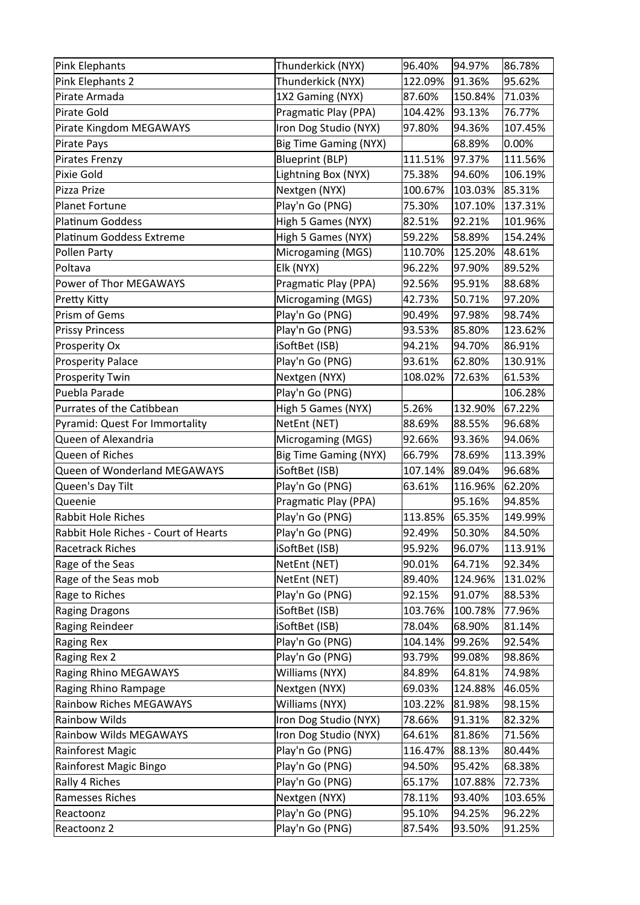| Pink Elephants                       | Thunderkick (NYX)            | 96.40%  | 94.97%  | 86.78%    |
|--------------------------------------|------------------------------|---------|---------|-----------|
| Pink Elephants 2                     | Thunderkick (NYX)            | 122.09% | 91.36%  | 95.62%    |
| Pirate Armada                        | 1X2 Gaming (NYX)             | 87.60%  | 150.84% | 71.03%    |
| Pirate Gold                          | Pragmatic Play (PPA)         | 104.42% | 93.13%  | 76.77%    |
| Pirate Kingdom MEGAWAYS              | Iron Dog Studio (NYX)        | 97.80%  | 94.36%  | 107.45%   |
| Pirate Pays                          | <b>Big Time Gaming (NYX)</b> |         | 68.89%  | $ 0.00\%$ |
| Pirates Frenzy                       | <b>Blueprint (BLP)</b>       | 111.51% | 97.37%  | 111.56%   |
| Pixie Gold                           | Lightning Box (NYX)          | 75.38%  | 94.60%  | 106.19%   |
| Pizza Prize                          | Nextgen (NYX)                | 100.67% | 103.03% | 85.31%    |
| Planet Fortune                       | Play'n Go (PNG)              | 75.30%  | 107.10% | 137.31%   |
| Platinum Goddess                     | High 5 Games (NYX)           | 82.51%  | 92.21%  | 101.96%   |
| Platinum Goddess Extreme             | High 5 Games (NYX)           | 59.22%  | 58.89%  | 154.24%   |
| Pollen Party                         | Microgaming (MGS)            | 110.70% | 125.20% | 48.61%    |
| Poltava                              | Elk (NYX)                    | 96.22%  | 97.90%  | 89.52%    |
| Power of Thor MEGAWAYS               | Pragmatic Play (PPA)         | 92.56%  | 95.91%  | 88.68%    |
| Pretty Kitty                         | Microgaming (MGS)            | 42.73%  | 50.71%  | 97.20%    |
| Prism of Gems                        | Play'n Go (PNG)              | 90.49%  | 97.98%  | 98.74%    |
| <b>Prissy Princess</b>               | Play'n Go (PNG)              | 93.53%  | 85.80%  | 123.62%   |
| Prosperity Ox                        | iSoftBet (ISB)               | 94.21%  | 94.70%  | 86.91%    |
| Prosperity Palace                    | Play'n Go (PNG)              | 93.61%  | 62.80%  | 130.91%   |
| <b>Prosperity Twin</b>               | Nextgen (NYX)                | 108.02% | 72.63%  | 61.53%    |
| Puebla Parade                        | Play'n Go (PNG)              |         |         | 106.28%   |
| Purrates of the Catibbean            | High 5 Games (NYX)           | 5.26%   | 132.90% | 67.22%    |
| Pyramid: Quest For Immortality       | NetEnt (NET)                 | 88.69%  | 88.55%  | 96.68%    |
| Queen of Alexandria                  | Microgaming (MGS)            | 92.66%  | 93.36%  | 94.06%    |
|                                      |                              |         |         |           |
| Queen of Riches                      | <b>Big Time Gaming (NYX)</b> | 66.79%  | 78.69%  | 113.39%   |
| Queen of Wonderland MEGAWAYS         | iSoftBet (ISB)               | 107.14% | 89.04%  | 96.68%    |
| Queen's Day Tilt                     | Play'n Go (PNG)              | 63.61%  | 116.96% | 62.20%    |
| Queenie                              | Pragmatic Play (PPA)         |         | 95.16%  | 94.85%    |
| <b>Rabbit Hole Riches</b>            | Play'n Go (PNG)              | 113.85% | 65.35%  | 149.99%   |
| Rabbit Hole Riches - Court of Hearts | Play'n Go (PNG)              | 92.49%  | 50.30%  | 84.50%    |
| Racetrack Riches                     | iSoftBet (ISB)               | 95.92%  | 96.07%  | 113.91%   |
| Rage of the Seas                     | NetEnt (NET)                 | 90.01%  | 64.71%  | 92.34%    |
| Rage of the Seas mob                 | NetEnt (NET)                 | 89.40%  | 124.96% | 131.02%   |
| Rage to Riches                       | Play'n Go (PNG)              | 92.15%  | 91.07%  | 88.53%    |
| Raging Dragons                       | iSoftBet (ISB)               | 103.76% | 100.78% | 77.96%    |
| Raging Reindeer                      | iSoftBet (ISB)               | 78.04%  | 68.90%  | 81.14%    |
| Raging Rex                           | Play'n Go (PNG)              | 104.14% | 99.26%  | 92.54%    |
| Raging Rex 2                         | Play'n Go (PNG)              | 93.79%  | 99.08%  | 98.86%    |
| <b>Raging Rhino MEGAWAYS</b>         | Williams (NYX)               | 84.89%  | 64.81%  | 74.98%    |
| Raging Rhino Rampage                 | Nextgen (NYX)                | 69.03%  | 124.88% | 46.05%    |
| Rainbow Riches MEGAWAYS              | Williams (NYX)               | 103.22% | 81.98%  | 98.15%    |
| Rainbow Wilds                        | Iron Dog Studio (NYX)        | 78.66%  | 91.31%  | 82.32%    |
| Rainbow Wilds MEGAWAYS               | Iron Dog Studio (NYX)        | 64.61%  | 81.86%  | 71.56%    |
| Rainforest Magic                     | Play'n Go (PNG)              | 116.47% | 88.13%  | 80.44%    |
| Rainforest Magic Bingo               | Play'n Go (PNG)              | 94.50%  | 95.42%  | 68.38%    |
| Rally 4 Riches                       | Play'n Go (PNG)              | 65.17%  | 107.88% | 72.73%    |
| Ramesses Riches                      | Nextgen (NYX)                | 78.11%  | 93.40%  | 103.65%   |
| Reactoonz                            | Play'n Go (PNG)              | 95.10%  | 94.25%  | 96.22%    |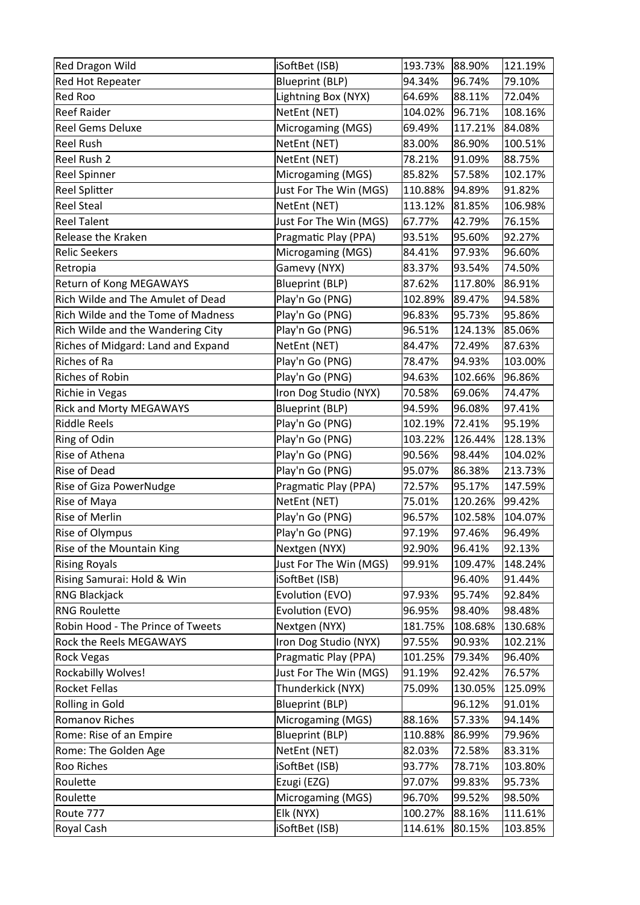| <b>Red Dragon Wild</b>             | iSoftBet (ISB)         | 193.73% | 88.90%  | 121.19% |
|------------------------------------|------------------------|---------|---------|---------|
| Red Hot Repeater                   | <b>Blueprint (BLP)</b> | 94.34%  | 96.74%  | 79.10%  |
| Red Roo                            | Lightning Box (NYX)    | 64.69%  | 88.11%  | 72.04%  |
| <b>Reef Raider</b>                 | NetEnt (NET)           | 104.02% | 96.71%  | 108.16% |
| <b>Reel Gems Deluxe</b>            | Microgaming (MGS)      | 69.49%  | 117.21% | 84.08%  |
| Reel Rush                          | NetEnt (NET)           | 83.00%  | 86.90%  | 100.51% |
| Reel Rush 2                        | NetEnt (NET)           | 78.21%  | 91.09%  | 88.75%  |
| Reel Spinner                       | Microgaming (MGS)      | 85.82%  | 57.58%  | 102.17% |
| Reel Splitter                      | Just For The Win (MGS) | 110.88% | 94.89%  | 91.82%  |
| Reel Steal                         | NetEnt (NET)           | 113.12% | 81.85%  | 106.98% |
| Reel Talent                        | Just For The Win (MGS) | 67.77%  | 42.79%  | 76.15%  |
| <b>Release the Kraken</b>          | Pragmatic Play (PPA)   | 93.51%  | 95.60%  | 92.27%  |
| Relic Seekers                      | Microgaming (MGS)      | 84.41%  | 97.93%  | 96.60%  |
| Retropia                           | Gamevy (NYX)           | 83.37%  | 93.54%  | 74.50%  |
| <b>Return of Kong MEGAWAYS</b>     | <b>Blueprint (BLP)</b> | 87.62%  | 117.80% | 86.91%  |
| Rich Wilde and The Amulet of Dead  | Play'n Go (PNG)        | 102.89% | 89.47%  | 94.58%  |
| Rich Wilde and the Tome of Madness | Play'n Go (PNG)        | 96.83%  | 95.73%  | 95.86%  |
| Rich Wilde and the Wandering City  | Play'n Go (PNG)        | 96.51%  | 124.13% | 85.06%  |
| Riches of Midgard: Land and Expand | NetEnt (NET)           | 84.47%  | 72.49%  | 87.63%  |
| Riches of Ra                       | Play'n Go (PNG)        | 78.47%  | 94.93%  | 103.00% |
| Riches of Robin                    | Play'n Go (PNG)        | 94.63%  | 102.66% | 96.86%  |
| Richie in Vegas                    | Iron Dog Studio (NYX)  | 70.58%  | 69.06%  | 74.47%  |
| <b>Rick and Morty MEGAWAYS</b>     | <b>Blueprint (BLP)</b> | 94.59%  | 96.08%  | 97.41%  |
| Riddle Reels                       | Play'n Go (PNG)        | 102.19% | 72.41%  | 95.19%  |
| Ring of Odin                       | Play'n Go (PNG)        | 103.22% | 126.44% | 128.13% |
| Rise of Athena                     | Play'n Go (PNG)        | 90.56%  | 98.44%  | 104.02% |
| Rise of Dead                       | Play'n Go (PNG)        | 95.07%  | 86.38%  | 213.73% |
| Rise of Giza PowerNudge            | Pragmatic Play (PPA)   | 72.57%  | 95.17%  | 147.59% |
| Rise of Maya                       | NetEnt (NET)           | 75.01%  | 120.26% | 99.42%  |
| Rise of Merlin                     | Play'n Go (PNG)        | 96.57%  | 102.58% | 104.07% |
| Rise of Olympus                    | Play'n Go (PNG)        | 97.19%  | 97.46%  | 96.49%  |
| Rise of the Mountain King          | Nextgen (NYX)          | 92.90%  | 96.41%  | 92.13%  |
| <b>Rising Royals</b>               | Just For The Win (MGS) | 99.91%  | 109.47% | 148.24% |
| Rising Samurai: Hold & Win         | iSoftBet (ISB)         |         | 96.40%  | 91.44%  |
| RNG Blackjack                      | Evolution (EVO)        | 97.93%  | 95.74%  | 92.84%  |
| <b>RNG Roulette</b>                | Evolution (EVO)        | 96.95%  | 98.40%  | 98.48%  |
| Robin Hood - The Prince of Tweets  | Nextgen (NYX)          | 181.75% | 108.68% | 130.68% |
| <b>Rock the Reels MEGAWAYS</b>     | Iron Dog Studio (NYX)  | 97.55%  | 90.93%  | 102.21% |
| Rock Vegas                         | Pragmatic Play (PPA)   | 101.25% | 79.34%  | 96.40%  |
| Rockabilly Wolves!                 | Just For The Win (MGS) | 91.19%  | 92.42%  | 76.57%  |
| Rocket Fellas                      | Thunderkick (NYX)      | 75.09%  | 130.05% | 125.09% |
| Rolling in Gold                    | <b>Blueprint (BLP)</b> |         | 96.12%  | 91.01%  |
| Romanov Riches                     | Microgaming (MGS)      | 88.16%  | 57.33%  | 94.14%  |
| Rome: Rise of an Empire            | <b>Blueprint (BLP)</b> | 110.88% | 86.99%  | 79.96%  |
| Rome: The Golden Age               | NetEnt (NET)           | 82.03%  | 72.58%  | 83.31%  |
| Roo Riches                         | iSoftBet (ISB)         | 93.77%  | 78.71%  | 103.80% |
| Roulette                           |                        |         |         |         |
|                                    | Ezugi (EZG)            | 97.07%  | 99.83%  | 95.73%  |
| Roulette                           | Microgaming (MGS)      | 96.70%  | 99.52%  | 98.50%  |
| Route 777                          | Elk (NYX)              | 100.27% | 88.16%  | 111.61% |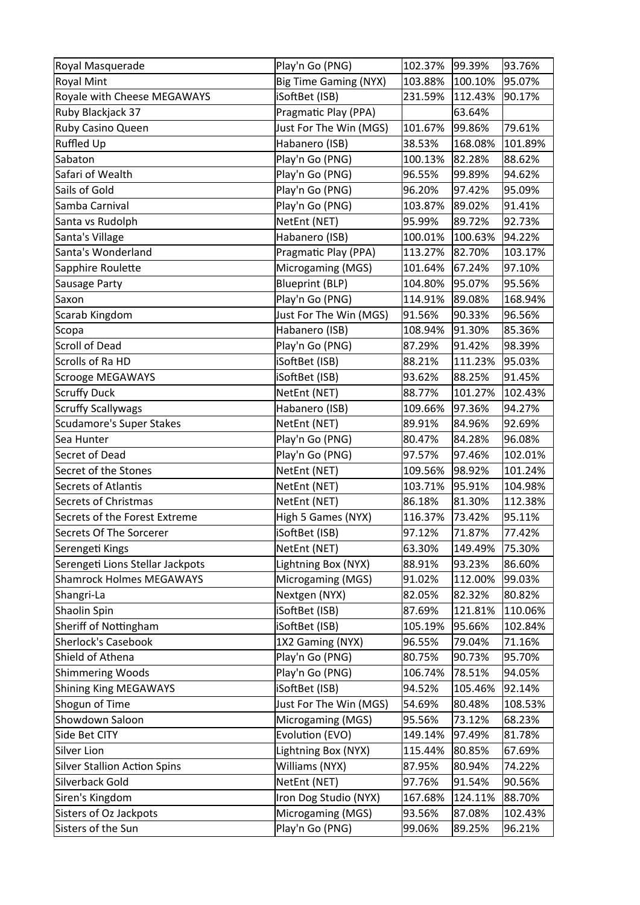| Royal Masquerade                    | Play'n Go (PNG)              | 102.37% | 99.39%  | 93.76%  |
|-------------------------------------|------------------------------|---------|---------|---------|
| <b>Royal Mint</b>                   | <b>Big Time Gaming (NYX)</b> | 103.88% | 100.10% | 95.07%  |
| Royale with Cheese MEGAWAYS         | iSoftBet (ISB)               | 231.59% | 112.43% | 90.17%  |
| Ruby Blackjack 37                   | Pragmatic Play (PPA)         |         | 63.64%  |         |
| Ruby Casino Queen                   | Just For The Win (MGS)       | 101.67% | 99.86%  | 79.61%  |
| Ruffled Up                          | Habanero (ISB)               | 38.53%  | 168.08% | 101.89% |
| Sabaton                             | Play'n Go (PNG)              | 100.13% | 82.28%  | 88.62%  |
| Safari of Wealth                    | Play'n Go (PNG)              | 96.55%  | 99.89%  | 94.62%  |
| Sails of Gold                       | Play'n Go (PNG)              | 96.20%  | 97.42%  | 95.09%  |
| Samba Carnival                      | Play'n Go (PNG)              | 103.87% | 89.02%  | 91.41%  |
| Santa vs Rudolph                    | NetEnt (NET)                 | 95.99%  | 89.72%  | 92.73%  |
| Santa's Village                     | Habanero (ISB)               | 100.01% | 100.63% | 94.22%  |
| Santa's Wonderland                  | Pragmatic Play (PPA)         | 113.27% | 82.70%  | 103.17% |
| Sapphire Roulette                   | Microgaming (MGS)            | 101.64% | 67.24%  | 97.10%  |
| Sausage Party                       | <b>Blueprint (BLP)</b>       | 104.80% | 95.07%  | 95.56%  |
| Saxon                               | Play'n Go (PNG)              | 114.91% | 89.08%  | 168.94% |
| Scarab Kingdom                      | Just For The Win (MGS)       | 91.56%  | 90.33%  | 96.56%  |
| Scopa                               | Habanero (ISB)               | 108.94% | 91.30%  | 85.36%  |
| Scroll of Dead                      | Play'n Go (PNG)              | 87.29%  | 91.42%  | 98.39%  |
| Scrolls of Ra HD                    | iSoftBet (ISB)               | 88.21%  | 111.23% | 95.03%  |
| Scrooge MEGAWAYS                    | iSoftBet (ISB)               | 93.62%  | 88.25%  | 91.45%  |
| Scruffy Duck                        | NetEnt (NET)                 | 88.77%  | 101.27% | 102.43% |
| <b>Scruffy Scallywags</b>           | Habanero (ISB)               | 109.66% | 97.36%  | 94.27%  |
| Scudamore's Super Stakes            | NetEnt (NET)                 | 89.91%  | 84.96%  | 92.69%  |
| Sea Hunter                          | Play'n Go (PNG)              | 80.47%  | 84.28%  | 96.08%  |
| Secret of Dead                      | Play'n Go (PNG)              | 97.57%  | 97.46%  | 102.01% |
| Secret of the Stones                | NetEnt (NET)                 | 109.56% | 98.92%  | 101.24% |
| Secrets of Atlantis                 | NetEnt (NET)                 | 103.71% | 95.91%  | 104.98% |
| Secrets of Christmas                | NetEnt (NET)                 | 86.18%  | 81.30%  | 112.38% |
| Secrets of the Forest Extreme       | High 5 Games (NYX)           | 116.37% | 73.42%  | 95.11%  |
| Secrets Of The Sorcerer             | iSoftBet (ISB)               | 97.12%  | 71.87%  | 77.42%  |
| Serengeti Kings                     | NetEnt (NET)                 | 63.30%  | 149.49% | 75.30%  |
| Serengeti Lions Stellar Jackpots    | Lightning Box (NYX)          | 88.91%  | 93.23%  | 86.60%  |
| <b>Shamrock Holmes MEGAWAYS</b>     | Microgaming (MGS)            | 91.02%  | 112.00% | 99.03%  |
| Shangri-La                          | Nextgen (NYX)                | 82.05%  | 82.32%  | 80.82%  |
| Shaolin Spin                        | iSoftBet (ISB)               | 87.69%  | 121.81% | 110.06% |
| Sheriff of Nottingham               | iSoftBet (ISB)               | 105.19% | 95.66%  | 102.84% |
| Sherlock's Casebook                 | 1X2 Gaming (NYX)             | 96.55%  | 79.04%  | 71.16%  |
| Shield of Athena                    | Play'n Go (PNG)              | 80.75%  | 90.73%  | 95.70%  |
| Shimmering Woods                    | Play'n Go (PNG)              | 106.74% | 78.51%  | 94.05%  |
| Shining King MEGAWAYS               | iSoftBet (ISB)               | 94.52%  | 105.46% | 92.14%  |
| Shogun of Time                      | Just For The Win (MGS)       | 54.69%  | 80.48%  | 108.53% |
| Showdown Saloon                     | Microgaming (MGS)            | 95.56%  | 73.12%  | 68.23%  |
| Side Bet CITY                       | Evolution (EVO)              | 149.14% | 97.49%  | 81.78%  |
| Silver Lion                         | Lightning Box (NYX)          | 115.44% | 80.85%  | 67.69%  |
| <b>Silver Stallion Action Spins</b> | Williams (NYX)               | 87.95%  | 80.94%  | 74.22%  |
| Silverback Gold                     | NetEnt (NET)                 | 97.76%  | 91.54%  | 90.56%  |
| Siren's Kingdom                     | Iron Dog Studio (NYX)        | 167.68% | 124.11% | 88.70%  |
| Sisters of Oz Jackpots              | Microgaming (MGS)            | 93.56%  | 87.08%  | 102.43% |
| Sisters of the Sun                  | Play'n Go (PNG)              | 99.06%  | 89.25%  | 96.21%  |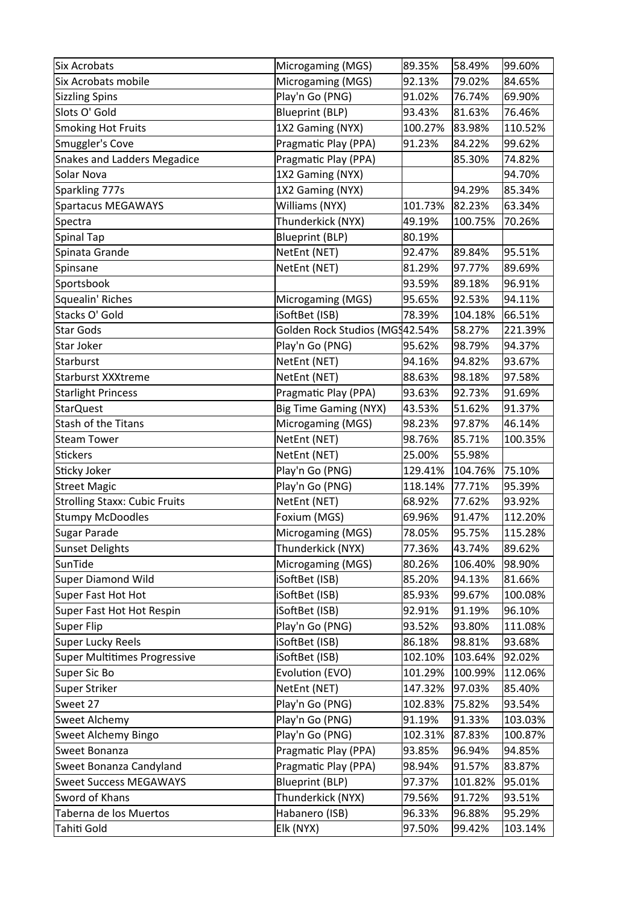| Six Acrobats                  | Microgaming (MGS)              | 89.35%  | 58.49%  | 99.60%  |
|-------------------------------|--------------------------------|---------|---------|---------|
| Six Acrobats mobile           | Microgaming (MGS)              | 92.13%  | 79.02%  | 84.65%  |
| Sizzling Spins                | Play'n Go (PNG)                | 91.02%  | 76.74%  | 69.90%  |
| Slots O' Gold                 | <b>Blueprint (BLP)</b>         | 93.43%  | 81.63%  | 76.46%  |
| Smoking Hot Fruits            | 1X2 Gaming (NYX)               | 100.27% | 83.98%  | 110.52% |
| Smuggler's Cove               | Pragmatic Play (PPA)           | 91.23%  | 84.22%  | 99.62%  |
| Snakes and Ladders Megadice   | Pragmatic Play (PPA)           |         | 85.30%  | 74.82%  |
| Solar Nova                    | 1X2 Gaming (NYX)               |         |         | 94.70%  |
| Sparkling 777s                | 1X2 Gaming (NYX)               |         | 94.29%  | 85.34%  |
| Spartacus MEGAWAYS            | Williams (NYX)                 | 101.73% | 82.23%  | 63.34%  |
| Spectra                       | Thunderkick (NYX)              | 49.19%  | 100.75% | 70.26%  |
| Spinal Tap                    | <b>Blueprint (BLP)</b>         | 80.19%  |         |         |
| Spinata Grande                | NetEnt (NET)                   | 92.47%  | 89.84%  | 95.51%  |
| Spinsane                      | NetEnt (NET)                   | 81.29%  | 97.77%  | 89.69%  |
| Sportsbook                    |                                | 93.59%  | 89.18%  | 96.91%  |
| Squealin' Riches              | Microgaming (MGS)              | 95.65%  | 92.53%  | 94.11%  |
| Stacks O' Gold                | iSoftBet (ISB)                 | 78.39%  | 104.18% | 66.51%  |
| <b>Star Gods</b>              | Golden Rock Studios (MGS42.54% |         | 58.27%  | 221.39% |
| Star Joker                    | Play'n Go (PNG)                | 95.62%  | 98.79%  | 94.37%  |
| Starburst                     | NetEnt (NET)                   | 94.16%  | 94.82%  | 93.67%  |
| Starburst XXXtreme            | NetEnt (NET)                   | 88.63%  | 98.18%  | 97.58%  |
| <b>Starlight Princess</b>     | Pragmatic Play (PPA)           | 93.63%  | 92.73%  | 91.69%  |
| StarQuest                     | <b>Big Time Gaming (NYX)</b>   | 43.53%  | 51.62%  | 91.37%  |
| <b>Stash of the Titans</b>    | Microgaming (MGS)              | 98.23%  | 97.87%  | 46.14%  |
| <b>Steam Tower</b>            | NetEnt (NET)                   | 98.76%  | 85.71%  | 100.35% |
| Stickers                      | NetEnt (NET)                   | 25.00%  | 55.98%  |         |
| Sticky Joker                  | Play'n Go (PNG)                | 129.41% | 104.76% | 75.10%  |
| Street Magic                  | Play'n Go (PNG)                | 118.14% | 77.71%  | 95.39%  |
| Strolling Staxx: Cubic Fruits | NetEnt (NET)                   | 68.92%  | 77.62%  | 93.92%  |
| <b>Stumpy McDoodles</b>       | Foxium (MGS)                   | 69.96%  | 91.47%  | 112.20% |
| Sugar Parade                  | Microgaming (MGS)              | 78.05%  | 95.75%  | 115.28% |
| Sunset Delights               | Thunderkick (NYX)              | 77.36%  | 43.74%  | 89.62%  |
| SunTide                       | Microgaming (MGS)              | 80.26%  | 106.40% | 98.90%  |
| Super Diamond Wild            | iSoftBet (ISB)                 | 85.20%  | 94.13%  | 81.66%  |
| Super Fast Hot Hot            | iSoftBet (ISB)                 | 85.93%  | 99.67%  | 100.08% |
| Super Fast Hot Hot Respin     | iSoftBet (ISB)                 | 92.91%  | 91.19%  | 96.10%  |
| Super Flip                    | Play'n Go (PNG)                | 93.52%  | 93.80%  | 111.08% |
| Super Lucky Reels             | iSoftBet (ISB)                 | 86.18%  | 98.81%  | 93.68%  |
| Super Multitimes Progressive  | iSoftBet (ISB)                 | 102.10% | 103.64% | 92.02%  |
| Super Sic Bo                  | Evolution (EVO)                | 101.29% | 100.99% | 112.06% |
| Super Striker                 | NetEnt (NET)                   | 147.32% | 97.03%  | 85.40%  |
| Sweet 27                      | Play'n Go (PNG)                | 102.83% | 75.82%  | 93.54%  |
| Sweet Alchemy                 | Play'n Go (PNG)                | 91.19%  | 91.33%  | 103.03% |
| Sweet Alchemy Bingo           | Play'n Go (PNG)                | 102.31% | 87.83%  | 100.87% |
| Sweet Bonanza                 | Pragmatic Play (PPA)           | 93.85%  | 96.94%  | 94.85%  |
| Sweet Bonanza Candyland       | Pragmatic Play (PPA)           | 98.94%  | 91.57%  | 83.87%  |
| <b>Sweet Success MEGAWAYS</b> | <b>Blueprint (BLP)</b>         | 97.37%  | 101.82% | 95.01%  |
| Sword of Khans                | Thunderkick (NYX)              | 79.56%  | 91.72%  | 93.51%  |
| Taberna de los Muertos        | Habanero (ISB)                 | 96.33%  | 96.88%  | 95.29%  |
| Tahiti Gold                   | Elk (NYX)                      | 97.50%  | 99.42%  | 103.14% |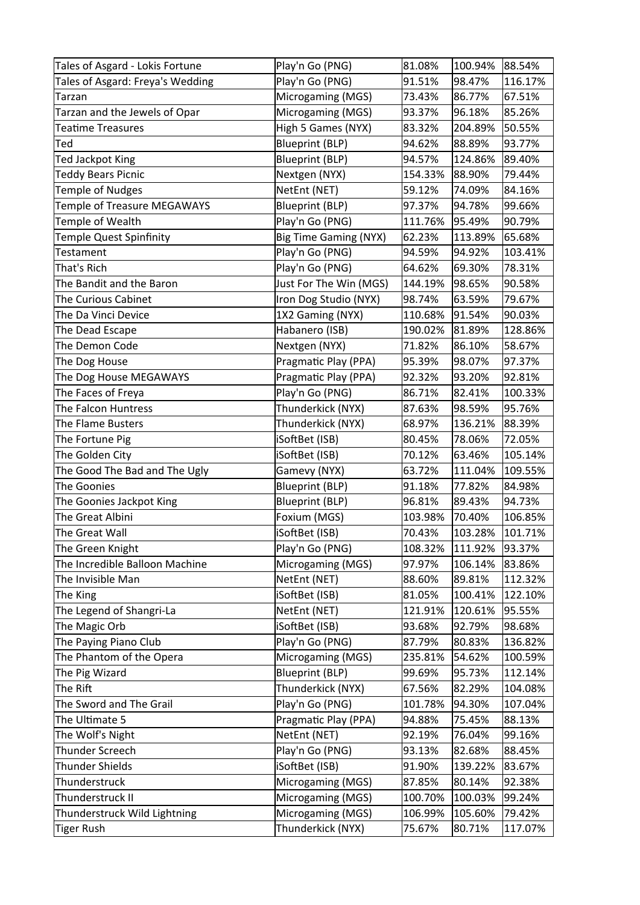| Tales of Asgard - Lokis Fortune    | Play'n Go (PNG)              | 81.08%  | 100.94% | 88.54%  |
|------------------------------------|------------------------------|---------|---------|---------|
| Tales of Asgard: Freya's Wedding   | Play'n Go (PNG)              | 91.51%  | 98.47%  | 116.17% |
| Tarzan                             | Microgaming (MGS)            | 73.43%  | 86.77%  | 67.51%  |
| Tarzan and the Jewels of Opar      | Microgaming (MGS)            | 93.37%  | 96.18%  | 85.26%  |
| <b>Teatime Treasures</b>           | High 5 Games (NYX)           | 83.32%  | 204.89% | 50.55%  |
| Ted                                | <b>Blueprint (BLP)</b>       | 94.62%  | 88.89%  | 93.77%  |
| Ted Jackpot King                   | <b>Blueprint (BLP)</b>       | 94.57%  | 124.86% | 89.40%  |
| <b>Teddy Bears Picnic</b>          | Nextgen (NYX)                | 154.33% | 88.90%  | 79.44%  |
| <b>Temple of Nudges</b>            | NetEnt (NET)                 | 59.12%  | 74.09%  | 84.16%  |
| <b>Temple of Treasure MEGAWAYS</b> | <b>Blueprint (BLP)</b>       | 97.37%  | 94.78%  | 99.66%  |
| Temple of Wealth                   | Play'n Go (PNG)              | 111.76% | 95.49%  | 90.79%  |
| <b>Temple Quest Spinfinity</b>     | <b>Big Time Gaming (NYX)</b> | 62.23%  | 113.89% | 65.68%  |
| Testament                          | Play'n Go (PNG)              | 94.59%  | 94.92%  | 103.41% |
| That's Rich                        | Play'n Go (PNG)              | 64.62%  | 69.30%  | 78.31%  |
| The Bandit and the Baron           | Just For The Win (MGS)       | 144.19% | 98.65%  | 90.58%  |
| The Curious Cabinet                | Iron Dog Studio (NYX)        | 98.74%  | 63.59%  | 79.67%  |
| The Da Vinci Device                | 1X2 Gaming (NYX)             | 110.68% | 91.54%  | 90.03%  |
| The Dead Escape                    | Habanero (ISB)               | 190.02% | 81.89%  | 128.86% |
| The Demon Code                     | Nextgen (NYX)                | 71.82%  | 86.10%  | 58.67%  |
| The Dog House                      | Pragmatic Play (PPA)         | 95.39%  | 98.07%  | 97.37%  |
| The Dog House MEGAWAYS             | Pragmatic Play (PPA)         | 92.32%  | 93.20%  | 92.81%  |
| The Faces of Freya                 | Play'n Go (PNG)              | 86.71%  | 82.41%  | 100.33% |
| The Falcon Huntress                | Thunderkick (NYX)            | 87.63%  | 98.59%  | 95.76%  |
| The Flame Busters                  | Thunderkick (NYX)            | 68.97%  | 136.21% | 88.39%  |
| The Fortune Pig                    | iSoftBet (ISB)               | 80.45%  | 78.06%  | 72.05%  |
| The Golden City                    | iSoftBet (ISB)               | 70.12%  | 63.46%  | 105.14% |
| The Good The Bad and The Ugly      | Gamevy (NYX)                 | 63.72%  | 111.04% | 109.55% |
| The Goonies                        | Blueprint (BLP)              | 91.18%  | 77.82%  | 84.98%  |
| The Goonies Jackpot King           | <b>Blueprint (BLP)</b>       | 96.81%  | 89.43%  | 94.73%  |
| The Great Albini                   | Foxium (MGS)                 | 103.98% | 70.40%  | 106.85% |
| The Great Wall                     | iSoftBet (ISB)               | 70.43%  | 103.28% | 101.71% |
| The Green Knight                   | Play'n Go (PNG)              | 108.32% | 111.92% | 93.37%  |
| The Incredible Balloon Machine     | Microgaming (MGS)            | 97.97%  | 106.14% | 83.86%  |
| The Invisible Man                  | NetEnt (NET)                 | 88.60%  | 89.81%  | 112.32% |
| The King                           | iSoftBet (ISB)               | 81.05%  | 100.41% | 122.10% |
| The Legend of Shangri-La           | NetEnt (NET)                 | 121.91% | 120.61% | 95.55%  |
| The Magic Orb                      | iSoftBet (ISB)               | 93.68%  | 92.79%  | 98.68%  |
| The Paying Piano Club              | Play'n Go (PNG)              | 87.79%  | 80.83%  | 136.82% |
| The Phantom of the Opera           | Microgaming (MGS)            | 235.81% | 54.62%  | 100.59% |
| The Pig Wizard                     | <b>Blueprint (BLP)</b>       | 99.69%  | 95.73%  | 112.14% |
| The Rift                           | Thunderkick (NYX)            | 67.56%  | 82.29%  | 104.08% |
| The Sword and The Grail            | Play'n Go (PNG)              | 101.78% | 94.30%  | 107.04% |
| The Ultimate 5                     | Pragmatic Play (PPA)         | 94.88%  | 75.45%  | 88.13%  |
| The Wolf's Night                   | NetEnt (NET)                 | 92.19%  | 76.04%  | 99.16%  |
| Thunder Screech                    | Play'n Go (PNG)              | 93.13%  | 82.68%  | 88.45%  |
| Thunder Shields                    | iSoftBet (ISB)               | 91.90%  | 139.22% | 83.67%  |
| Thunderstruck                      | Microgaming (MGS)            | 87.85%  | 80.14%  | 92.38%  |
| Thunderstruck II                   | Microgaming (MGS)            | 100.70% | 100.03% | 99.24%  |
| Thunderstruck Wild Lightning       | Microgaming (MGS)            | 106.99% | 105.60% | 79.42%  |
| Tiger Rush                         | Thunderkick (NYX)            | 75.67%  | 80.71%  | 117.07% |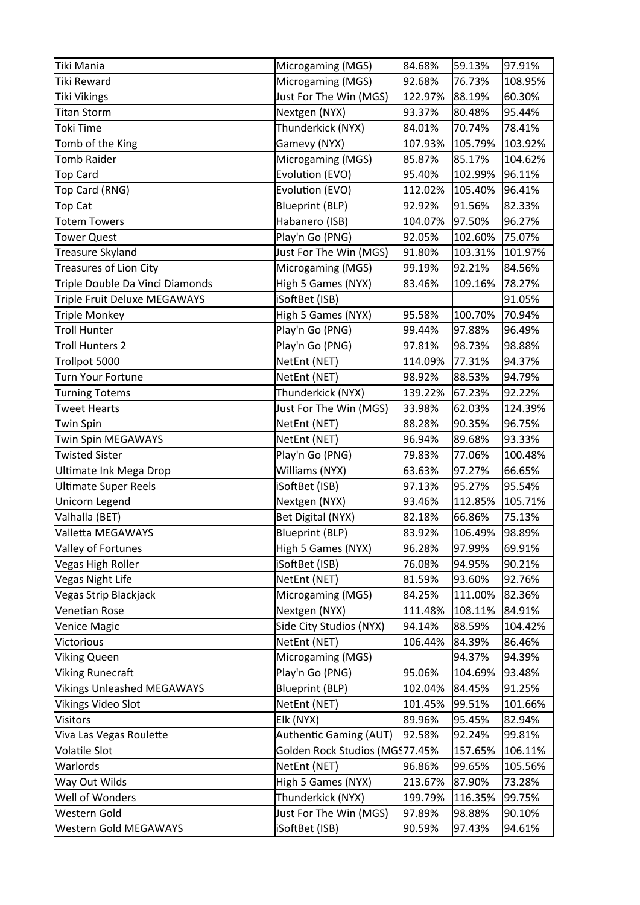| Tiki Mania                        | Microgaming (MGS)              | 84.68%  | 59.13%  | 97.91%  |
|-----------------------------------|--------------------------------|---------|---------|---------|
| <b>Tiki Reward</b>                | Microgaming (MGS)              | 92.68%  | 76.73%  | 108.95% |
| <b>Tiki Vikings</b>               | Just For The Win (MGS)         | 122.97% | 88.19%  | 60.30%  |
| <b>Titan Storm</b>                | Nextgen (NYX)                  | 93.37%  | 80.48%  | 95.44%  |
| <b>Toki Time</b>                  | Thunderkick (NYX)              | 84.01%  | 70.74%  | 78.41%  |
| Tomb of the King                  | Gamevy (NYX)                   | 107.93% | 105.79% | 103.92% |
| <b>Tomb Raider</b>                | Microgaming (MGS)              | 85.87%  | 85.17%  | 104.62% |
| <b>Top Card</b>                   | Evolution (EVO)                | 95.40%  | 102.99% | 96.11%  |
| Top Card (RNG)                    | Evolution (EVO)                | 112.02% | 105.40% | 96.41%  |
| <b>Top Cat</b>                    | <b>Blueprint (BLP)</b>         | 92.92%  | 91.56%  | 82.33%  |
| <b>Totem Towers</b>               | Habanero (ISB)                 | 104.07% | 97.50%  | 96.27%  |
| <b>Tower Quest</b>                | Play'n Go (PNG)                | 92.05%  | 102.60% | 75.07%  |
| Treasure Skyland                  | Just For The Win (MGS)         | 91.80%  | 103.31% | 101.97% |
| <b>Treasures of Lion City</b>     | Microgaming (MGS)              | 99.19%  | 92.21%  | 84.56%  |
| Triple Double Da Vinci Diamonds   | High 5 Games (NYX)             | 83.46%  | 109.16% | 78.27%  |
| Triple Fruit Deluxe MEGAWAYS      | iSoftBet (ISB)                 |         |         | 91.05%  |
| <b>Triple Monkey</b>              | High 5 Games (NYX)             | 95.58%  | 100.70% | 70.94%  |
| <b>Troll Hunter</b>               | Play'n Go (PNG)                | 99.44%  | 97.88%  | 96.49%  |
| <b>Troll Hunters 2</b>            | Play'n Go (PNG)                | 97.81%  | 98.73%  | 98.88%  |
| Trollpot 5000                     | NetEnt (NET)                   | 114.09% | 77.31%  | 94.37%  |
| <b>Turn Your Fortune</b>          | NetEnt (NET)                   | 98.92%  | 88.53%  | 94.79%  |
| <b>Turning Totems</b>             | Thunderkick (NYX)              | 139.22% | 67.23%  | 92.22%  |
| <b>Tweet Hearts</b>               | Just For The Win (MGS)         | 33.98%  | 62.03%  | 124.39% |
| <b>Twin Spin</b>                  | NetEnt (NET)                   | 88.28%  | 90.35%  | 96.75%  |
| <b>Twin Spin MEGAWAYS</b>         | NetEnt (NET)                   | 96.94%  | 89.68%  | 93.33%  |
| <b>Twisted Sister</b>             | Play'n Go (PNG)                | 79.83%  | 77.06%  | 100.48% |
| Ultimate Ink Mega Drop            | Williams (NYX)                 | 63.63%  | 97.27%  | 66.65%  |
| <b>Ultimate Super Reels</b>       | iSoftBet (ISB)                 | 97.13%  | 95.27%  | 95.54%  |
| Unicorn Legend                    | Nextgen (NYX)                  | 93.46%  | 112.85% | 105.71% |
| Valhalla (BET)                    | Bet Digital (NYX)              | 82.18%  | 66.86%  | 75.13%  |
| Valletta MEGAWAYS                 | <b>Blueprint (BLP)</b>         | 83.92%  | 106.49% | 98.89%  |
| Valley of Fortunes                | High 5 Games (NYX)             | 96.28%  | 97.99%  | 69.91%  |
| Vegas High Roller                 | iSoftBet (ISB)                 | 76.08%  | 94.95%  | 90.21%  |
| Vegas Night Life                  | NetEnt (NET)                   | 81.59%  | 93.60%  | 92.76%  |
| Vegas Strip Blackjack             | Microgaming (MGS)              | 84.25%  | 111.00% | 82.36%  |
| Venetian Rose                     | Nextgen (NYX)                  | 111.48% | 108.11% | 84.91%  |
| <b>Venice Magic</b>               | Side City Studios (NYX)        | 94.14%  | 88.59%  | 104.42% |
| Victorious                        | NetEnt (NET)                   | 106.44% | 84.39%  | 86.46%  |
| <b>Viking Queen</b>               | Microgaming (MGS)              |         | 94.37%  | 94.39%  |
| Viking Runecraft                  | Play'n Go (PNG)                | 95.06%  | 104.69% | 93.48%  |
| <b>Vikings Unleashed MEGAWAYS</b> | <b>Blueprint (BLP)</b>         | 102.04% | 84.45%  | 91.25%  |
| Vikings Video Slot                | NetEnt (NET)                   | 101.45% | 99.51%  | 101.66% |
| <b>Visitors</b>                   | Elk (NYX)                      | 89.96%  | 95.45%  | 82.94%  |
| Viva Las Vegas Roulette           | Authentic Gaming (AUT)         | 92.58%  | 92.24%  | 99.81%  |
| Volatile Slot                     | Golden Rock Studios (MG§77.45% |         | 157.65% | 106.11% |
| Warlords                          | NetEnt (NET)                   | 96.86%  | 99.65%  | 105.56% |
| Way Out Wilds                     | High 5 Games (NYX)             | 213.67% | 87.90%  | 73.28%  |
| Well of Wonders                   | Thunderkick (NYX)              | 199.79% | 116.35% | 99.75%  |
| Western Gold                      | Just For The Win (MGS)         | 97.89%  | 98.88%  | 90.10%  |
| Western Gold MEGAWAYS             | iSoftBet (ISB)                 | 90.59%  | 97.43%  | 94.61%  |
|                                   |                                |         |         |         |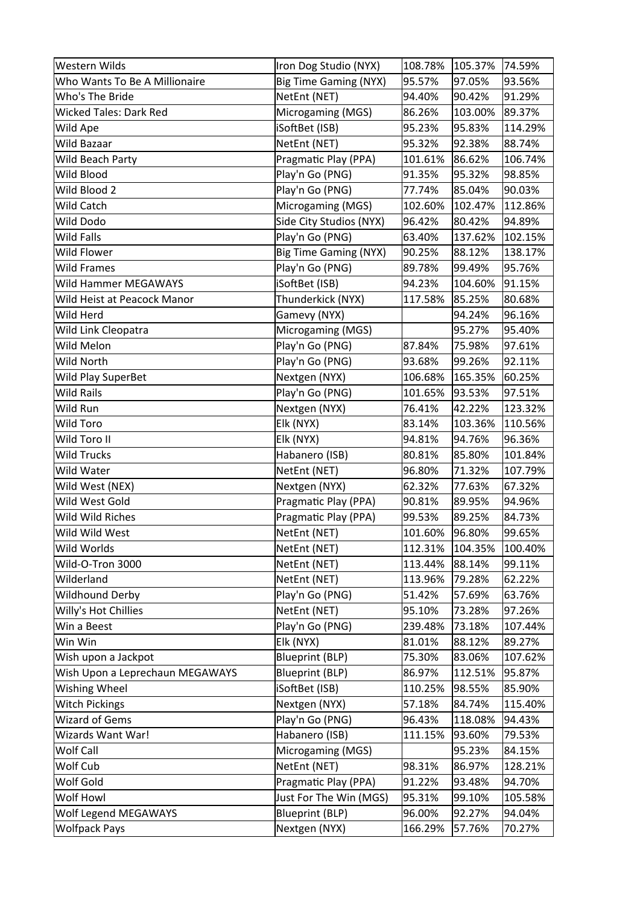| Western Wilds                   | Iron Dog Studio (NYX)        | 108.78% | 105.37% | 74.59%  |
|---------------------------------|------------------------------|---------|---------|---------|
| Who Wants To Be A Millionaire   | <b>Big Time Gaming (NYX)</b> | 95.57%  | 97.05%  | 93.56%  |
| Who's The Bride                 | NetEnt (NET)                 | 94.40%  | 90.42%  | 91.29%  |
| <b>Wicked Tales: Dark Red</b>   | Microgaming (MGS)            | 86.26%  | 103.00% | 89.37%  |
| Wild Ape                        | iSoftBet (ISB)               | 95.23%  | 95.83%  | 114.29% |
| Wild Bazaar                     | NetEnt (NET)                 | 95.32%  | 92.38%  | 88.74%  |
| Wild Beach Party                | Pragmatic Play (PPA)         | 101.61% | 86.62%  | 106.74% |
| Wild Blood                      | Play'n Go (PNG)              | 91.35%  | 95.32%  | 98.85%  |
| Wild Blood 2                    | Play'n Go (PNG)              | 77.74%  | 85.04%  | 90.03%  |
| <b>Wild Catch</b>               | Microgaming (MGS)            | 102.60% | 102.47% | 112.86% |
| Wild Dodo                       | Side City Studios (NYX)      | 96.42%  | 80.42%  | 94.89%  |
| <b>Wild Falls</b>               | Play'n Go (PNG)              | 63.40%  | 137.62% | 102.15% |
| Wild Flower                     | <b>Big Time Gaming (NYX)</b> | 90.25%  | 88.12%  | 138.17% |
| <b>Wild Frames</b>              | Play'n Go (PNG)              | 89.78%  | 99.49%  | 95.76%  |
| Wild Hammer MEGAWAYS            | iSoftBet (ISB)               | 94.23%  | 104.60% | 91.15%  |
| Wild Heist at Peacock Manor     | Thunderkick (NYX)            | 117.58% | 85.25%  | 80.68%  |
| Wild Herd                       | Gamevy (NYX)                 |         | 94.24%  | 96.16%  |
| Wild Link Cleopatra             | Microgaming (MGS)            |         | 95.27%  | 95.40%  |
| Wild Melon                      | Play'n Go (PNG)              | 87.84%  | 75.98%  | 97.61%  |
| Wild North                      | Play'n Go (PNG)              | 93.68%  | 99.26%  | 92.11%  |
| Wild Play SuperBet              | Nextgen (NYX)                | 106.68% | 165.35% | 60.25%  |
| <b>Wild Rails</b>               | Play'n Go (PNG)              | 101.65% | 93.53%  | 97.51%  |
| Wild Run                        | Nextgen (NYX)                | 76.41%  | 42.22%  | 123.32% |
| <b>Wild Toro</b>                | Elk (NYX)                    | 83.14%  | 103.36% | 110.56% |
| Wild Toro II                    | Elk (NYX)                    | 94.81%  | 94.76%  | 96.36%  |
| <b>Wild Trucks</b>              | Habanero (ISB)               | 80.81%  | 85.80%  | 101.84% |
| Wild Water                      | NetEnt (NET)                 | 96.80%  | 71.32%  | 107.79% |
| Wild West (NEX)                 | Nextgen (NYX)                | 62.32%  | 77.63%  | 67.32%  |
| Wild West Gold                  | Pragmatic Play (PPA)         | 90.81%  | 89.95%  | 94.96%  |
| Wild Wild Riches                | Pragmatic Play (PPA)         | 99.53%  | 89.25%  | 84.73%  |
| Wild Wild West                  | NetEnt (NET)                 | 101.60% | 96.80%  | 99.65%  |
| Wild Worlds                     | NetEnt (NET)                 | 112.31% | 104.35% | 100.40% |
| Wild-O-Tron 3000                | NetEnt (NET)                 | 113.44% | 88.14%  | 99.11%  |
| Wilderland                      | NetEnt (NET)                 | 113.96% | 79.28%  | 62.22%  |
| <b>Wildhound Derby</b>          | Play'n Go (PNG)              | 51.42%  | 57.69%  | 63.76%  |
| Willy's Hot Chillies            | NetEnt (NET)                 | 95.10%  | 73.28%  | 97.26%  |
| Win a Beest                     | Play'n Go (PNG)              | 239.48% | 73.18%  | 107.44% |
| Win Win                         | Elk (NYX)                    | 81.01%  | 88.12%  | 89.27%  |
| Wish upon a Jackpot             | <b>Blueprint (BLP)</b>       | 75.30%  | 83.06%  | 107.62% |
| Wish Upon a Leprechaun MEGAWAYS | <b>Blueprint (BLP)</b>       | 86.97%  | 112.51% | 95.87%  |
| Wishing Wheel                   | iSoftBet (ISB)               | 110.25% | 98.55%  | 85.90%  |
| <b>Witch Pickings</b>           | Nextgen (NYX)                | 57.18%  | 84.74%  | 115.40% |
| <b>Wizard of Gems</b>           | Play'n Go (PNG)              | 96.43%  | 118.08% | 94.43%  |
| Wizards Want War!               | Habanero (ISB)               | 111.15% | 93.60%  | 79.53%  |
| <b>Wolf Call</b>                | Microgaming (MGS)            |         | 95.23%  | 84.15%  |
| Wolf Cub                        | NetEnt (NET)                 | 98.31%  | 86.97%  | 128.21% |
| Wolf Gold                       | Pragmatic Play (PPA)         | 91.22%  | 93.48%  | 94.70%  |
| Wolf Howl                       | Just For The Win (MGS)       | 95.31%  | 99.10%  | 105.58% |
| Wolf Legend MEGAWAYS            | <b>Blueprint (BLP)</b>       | 96.00%  | 92.27%  | 94.04%  |
| <b>Wolfpack Pays</b>            | Nextgen (NYX)                | 166.29% | 57.76%  | 70.27%  |